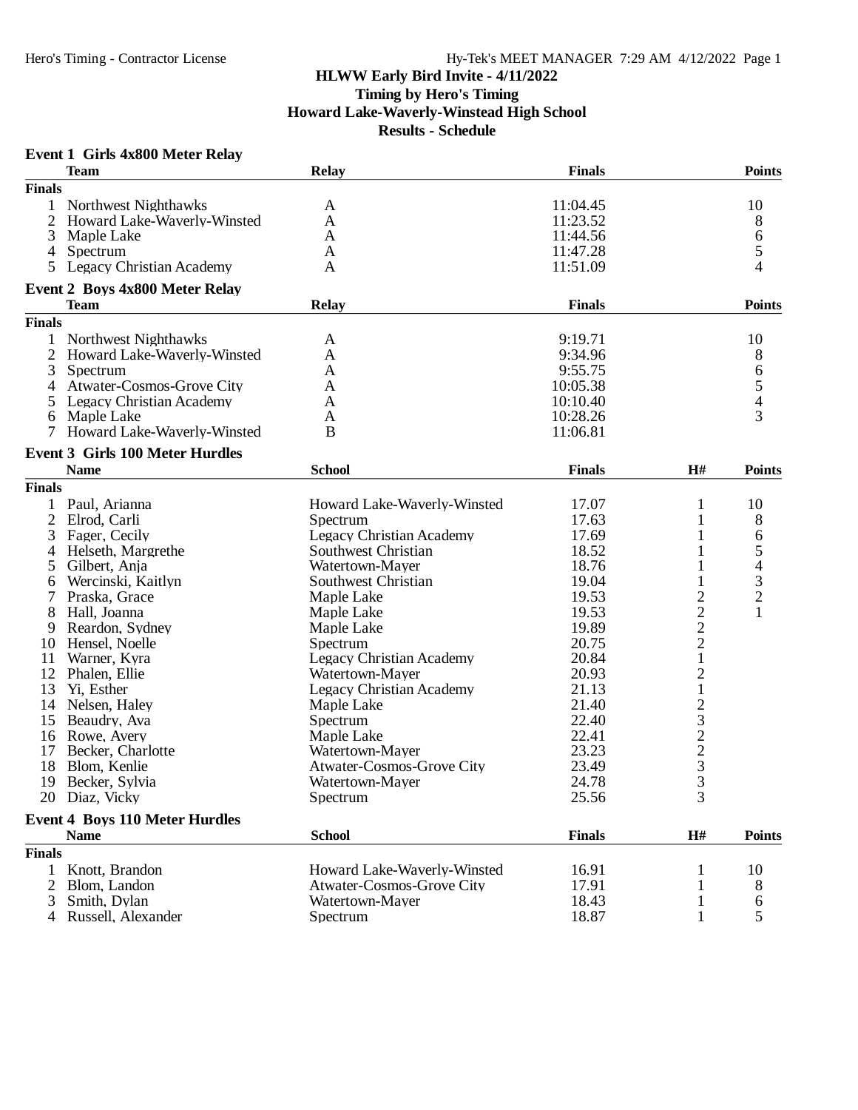#### **Event 1 Girls 4x800 Meter Relay**

|                | <b>Team</b>                            | <b>Relay</b>                     | <b>Finals</b> |                                | <b>Points</b>  |
|----------------|----------------------------------------|----------------------------------|---------------|--------------------------------|----------------|
| <b>Finals</b>  |                                        |                                  |               |                                |                |
| 1              | Northwest Nighthawks                   | A                                | 11:04.45      |                                | 10             |
| 2              | Howard Lake-Waverly-Winsted            | A                                | 11:23.52      |                                | 8              |
| 3              | Maple Lake                             | A                                | 11:44.56      |                                | 6              |
|                | 4 Spectrum                             | A                                | 11:47.28      |                                | 5              |
| 5              | <b>Legacy Christian Academy</b>        | A                                | 11:51.09      |                                | 4              |
|                |                                        |                                  |               |                                |                |
|                | <b>Event 2 Boys 4x800 Meter Relay</b>  |                                  |               |                                | <b>Points</b>  |
| <b>Finals</b>  | <b>Team</b>                            | <b>Relay</b>                     | <b>Finals</b> |                                |                |
|                |                                        |                                  |               |                                |                |
| 1              | Northwest Nighthawks                   | A                                | 9:19.71       |                                | 10             |
| $\overline{c}$ | Howard Lake-Waverly-Winsted            | A                                | 9:34.96       |                                | 8              |
| 3              | Spectrum                               | A                                | 9:55.75       |                                | 6              |
| 4              | <b>Atwater-Cosmos-Grove City</b>       | A                                | 10:05.38      |                                | $\frac{5}{4}$  |
| 5              | Legacy Christian Academy               | A                                | 10:10.40      |                                |                |
| 6              | Maple Lake                             | A                                | 10:28.26      |                                | 3              |
| 7              | Howard Lake-Waverly-Winsted            | B                                | 11:06.81      |                                |                |
|                | <b>Event 3 Girls 100 Meter Hurdles</b> |                                  |               |                                |                |
|                | <b>Name</b>                            | <b>School</b>                    | <b>Finals</b> | H#                             | <b>Points</b>  |
| <b>Finals</b>  |                                        |                                  |               |                                |                |
| 1              | Paul, Arianna                          | Howard Lake-Waverly-Winsted      | 17.07         | 1                              | 10             |
|                | 2 Elrod, Carli                         | Spectrum                         | 17.63         | 1                              | 8              |
| 3              | Fager, Cecily                          | Legacy Christian Academy         | 17.69         | 1                              | 6              |
| 4              | Helseth, Margrethe                     | Southwest Christian              | 18.52         | 1                              | 5              |
| 5              | Gilbert, Anja                          | Watertown-Mayer                  | 18.76         | 1                              | $\overline{4}$ |
| 6              | Wercinski, Kaitlyn                     | Southwest Christian              | 19.04         | 1                              | 3              |
| 7              | Praska, Grace                          | Maple Lake                       | 19.53         |                                | $\overline{c}$ |
| 8              | Hall, Joanna                           | Maple Lake                       | 19.53         | $\frac{2}{2}$<br>$\frac{2}{1}$ | $\mathbf{1}$   |
| 9              | Reardon, Sydney                        | Maple Lake                       | 19.89         |                                |                |
| 10             | Hensel, Noelle                         | Spectrum                         | 20.75         |                                |                |
| 11             | Warner, Kyra                           | <b>Legacy Christian Academy</b>  | 20.84         |                                |                |
| 12             | Phalen, Ellie                          | Watertown-Mayer                  | 20.93         | $\overline{\mathbf{c}}$        |                |
| 13             | Yi, Esther                             | Legacy Christian Academy         | 21.13         | $\,1$                          |                |
| 14             | Nelsen, Haley                          | Maple Lake                       | 21.40         |                                |                |
| 15             | Beaudry, Ava                           | Spectrum                         | 22.40         |                                |                |
| 16             | Rowe, Avery                            | Maple Lake                       | 22.41         |                                |                |
| 17             | Becker, Charlotte                      | Watertown-Mayer                  | 23.23         |                                |                |
| 18             | Blom, Kenlie                           | Atwater-Cosmos-Grove City        | 23.49         |                                |                |
| 19             | Becker, Sylvia                         | Watertown-Mayer                  | 24.78         | $23223$<br>3<br>3              |                |
|                | 20 Diaz, Vicky                         | Spectrum                         | 25.56         | 3                              |                |
|                |                                        |                                  |               |                                |                |
|                | <b>Event 4 Boys 110 Meter Hurdles</b>  |                                  |               |                                |                |
|                | <b>Name</b>                            | <b>School</b>                    | <b>Finals</b> | $\mathbf{H}$ #                 | <b>Points</b>  |
| <b>Finals</b>  |                                        |                                  |               |                                |                |
| 1              | Knott, Brandon                         | Howard Lake-Waverly-Winsted      | 16.91         | 1                              | 10             |
| 2              | Blom, Landon                           | <b>Atwater-Cosmos-Grove City</b> | 17.91         | 1                              | 8              |
| 3              | Smith, Dylan                           | Watertown-Mayer                  | 18.43         | $\mathbf{1}$                   | 6              |
|                | Russell, Alexander                     | Spectrum                         | 18.87         | 1                              | 5              |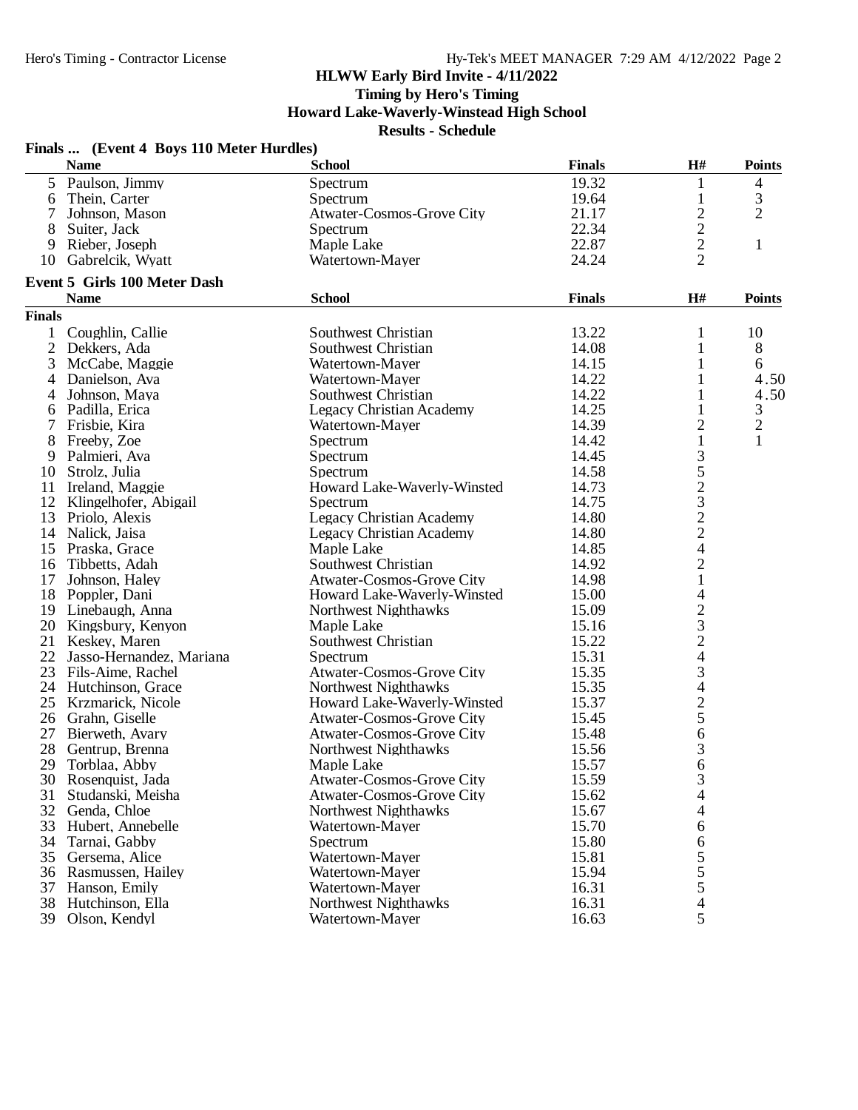**Timing by Hero's Timing**

**Howard Lake-Waverly-Winstead High School**

|               | Finals  (Event 4 Boys 110 Meter Hurdles) |                                  |               |                                            |                |
|---------------|------------------------------------------|----------------------------------|---------------|--------------------------------------------|----------------|
|               | <b>Name</b>                              | <b>School</b>                    | <b>Finals</b> | H#                                         | <b>Points</b>  |
|               | 5 Paulson, Jimmy                         | Spectrum                         | 19.32         | 1                                          | 4              |
| 6             | Thein, Carter                            | Spectrum                         | 19.64         | $\mathbf{1}$                               | 3              |
| 7             | Johnson, Mason                           | Atwater-Cosmos-Grove City        | 21.17         |                                            | $\overline{2}$ |
| 8             | Suiter, Jack                             | Spectrum                         | 22.34         |                                            |                |
| 9             | Rieber, Joseph                           | Maple Lake                       | 22.87         | $\begin{array}{c} 2 \\ 2 \\ 2 \end{array}$ | $\mathbf{1}$   |
| 10            | Gabrelcik, Wyatt                         | Watertown-Mayer                  | 24.24         |                                            |                |
|               | <b>Event 5 Girls 100 Meter Dash</b>      |                                  |               |                                            |                |
|               | <b>Name</b>                              | <b>School</b>                    | <b>Finals</b> | H#                                         | <b>Points</b>  |
| <b>Finals</b> |                                          |                                  |               |                                            |                |
| $\mathbf{1}$  | Coughlin, Callie                         | Southwest Christian              | 13.22         | 1                                          | 10             |
|               | 2 Dekkers, Ada                           | Southwest Christian              | 14.08         | 1                                          | 8              |
| 3             | McCabe, Maggie                           | Watertown-Mayer                  | 14.15         | 1                                          | 6              |
| 4             | Danielson, Ava                           | Watertown-Mayer                  | 14.22         | 1                                          | 4.50           |
| 4             | Johnson, Maya                            | Southwest Christian              | 14.22         | 1                                          | 4.50           |
| 6             | Padilla, Erica                           | <b>Legacy Christian Academy</b>  | 14.25         | $\mathbf{1}$                               | $\mathfrak{Z}$ |
| 7             | Frisbie, Kira                            | Watertown-Mayer                  | 14.39         | $\overline{c}$                             | $\overline{2}$ |
|               | 8 Freeby, Zoe                            | Spectrum                         | 14.42         | $\mathbf{1}$                               | 1              |
| 9             | Palmieri, Ava                            | Spectrum                         | 14.45         |                                            |                |
| 10            | Strolz, Julia                            | Spectrum                         | 14.58         | 3523224                                    |                |
| 11            | Ireland, Maggie                          | Howard Lake-Waverly-Winsted      | 14.73         |                                            |                |
| 12            | Klingelhofer, Abigail                    | Spectrum                         | 14.75         |                                            |                |
|               | 13 Priolo, Alexis                        | <b>Legacy Christian Academy</b>  | 14.80         |                                            |                |
| 14            | Nalick, Jaisa                            | <b>Legacy Christian Academy</b>  | 14.80         |                                            |                |
| 15            | Praska, Grace                            | Maple Lake                       | 14.85         |                                            |                |
| 16            | Tibbetts, Adah                           | Southwest Christian              | 14.92         | $\overline{c}$                             |                |
| 17            | Johnson, Haley                           | Atwater-Cosmos-Grove City        | 14.98         | $\,1$                                      |                |
|               | 18 Poppler, Dani                         | Howard Lake-Waverly-Winsted      | 15.00         |                                            |                |
|               | 19 Linebaugh, Anna                       | Northwest Nighthawks             | 15.09         | $\frac{4}{2}$ $\frac{3}{2}$ $\frac{2}{4}$  |                |
| 20            | Kingsbury, Kenyon                        | Maple Lake                       | 15.16         |                                            |                |
| 21            | Keskey, Maren                            | Southwest Christian              | 15.22         |                                            |                |
| 22            |                                          |                                  |               |                                            |                |
|               | Jasso-Hernandez, Mariana                 | Spectrum                         | 15.31         |                                            |                |
|               | 23 Fils-Aime, Rachel                     | Atwater-Cosmos-Grove City        | 15.35         | 3                                          |                |
|               | 24 Hutchinson, Grace                     | Northwest Nighthawks             | 15.35         | $\frac{4}{2}$                              |                |
| 25            | Krzmarick, Nicole                        | Howard Lake-Waverly-Winsted      | 15.37         |                                            |                |
|               | 26 Grahn, Giselle                        | Atwater-Cosmos-Grove City        | 15.45         |                                            |                |
| 27            | Bierweth, Avary                          | Atwater-Cosmos-Grove City        | 15.48         | 6                                          |                |
| 28            | Gentrup, Brenna                          | Northwest Nighthawks             | 15.56         | 3                                          |                |
| 29            | Torblaa, Abby                            | Maple Lake                       | 15.57         | 6                                          |                |
| 30            | Rosenquist, Jada                         | <b>Atwater-Cosmos-Grove City</b> | 15.59         | 3                                          |                |
| 31            | Studanski, Meisha                        | <b>Atwater-Cosmos-Grove City</b> | 15.62         | 4                                          |                |
| 32            | Genda, Chloe                             | Northwest Nighthawks             | 15.67         | 4                                          |                |
| 33            | Hubert, Annebelle                        | Watertown-Mayer                  | 15.70         | 6                                          |                |
| 34            | Tarnai, Gabby                            | Spectrum                         | 15.80         | 6                                          |                |
| 35            | Gersema, Alice                           | Watertown-Mayer                  | 15.81         | 5                                          |                |
| 36            | Rasmussen, Hailey                        | Watertown-Mayer                  | 15.94         | 5                                          |                |
| 37            | Hanson, Emily                            | Watertown-Mayer                  | 16.31         | 5                                          |                |
| 38            | Hutchinson, Ella                         | <b>Northwest Nighthawks</b>      | 16.31         | 4                                          |                |
| 39            | Olson, Kendyl                            | Watertown-Mayer                  | 16.63         | 5                                          |                |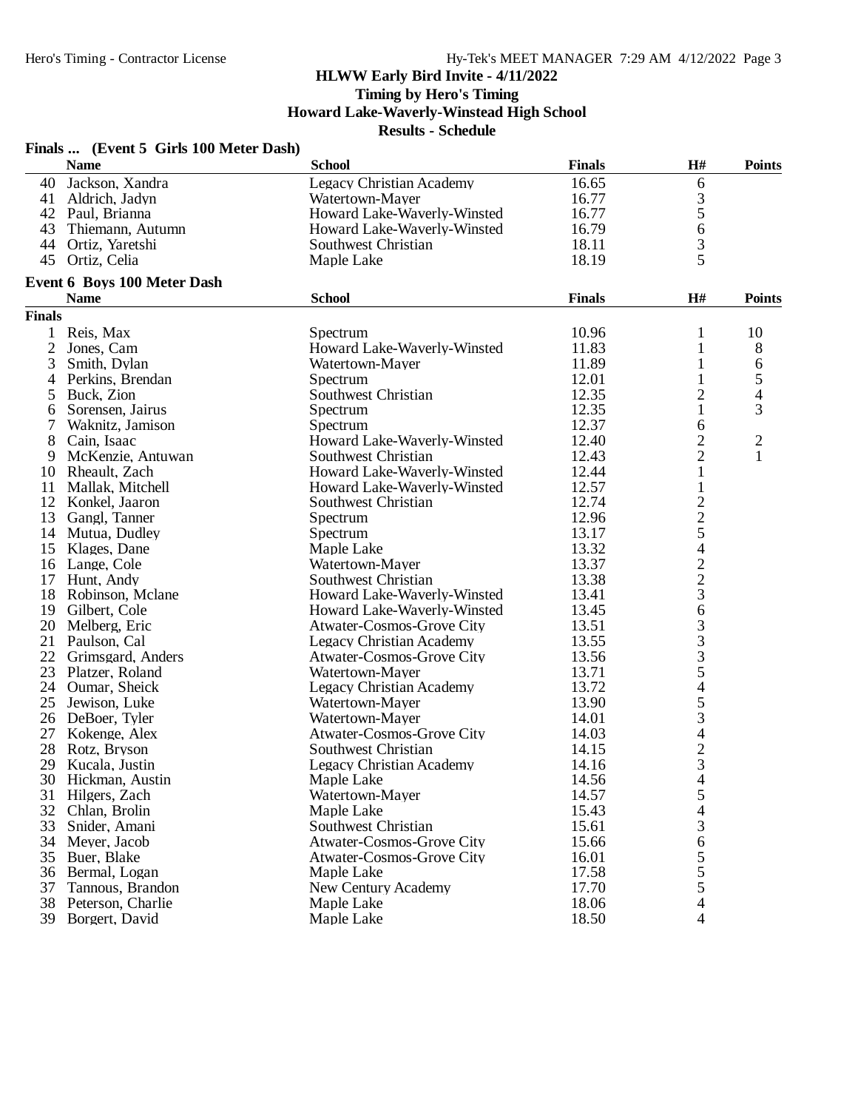**Timing by Hero's Timing**

**Howard Lake-Waverly-Winstead High School**

|                | Finals  (Event 5 Girls 100 Meter Dash) |                                  |               |                |                |
|----------------|----------------------------------------|----------------------------------|---------------|----------------|----------------|
|                | <b>Name</b>                            | <b>School</b>                    | <b>Finals</b> | H#             | <b>Points</b>  |
| 40             | Jackson, Xandra                        | <b>Legacy Christian Academy</b>  | 16.65         | 6              |                |
|                | 41 Aldrich, Jadyn                      | Watertown-Mayer                  | 16.77         | 3              |                |
|                | 42 Paul, Brianna                       | Howard Lake-Waverly-Winsted      | 16.77         | 5              |                |
| 43             | Thiemann, Autumn                       | Howard Lake-Waverly-Winsted      | 16.79         | 6              |                |
| 44             | Ortiz, Yaretshi                        | Southwest Christian              | 18.11         | 3              |                |
| 45             | Ortiz, Celia                           | Maple Lake                       | 18.19         | 5              |                |
|                | Event 6 Boys 100 Meter Dash            |                                  |               |                |                |
|                | <b>Name</b>                            | <b>School</b>                    | <b>Finals</b> | H#             | <b>Points</b>  |
| <b>Finals</b>  |                                        |                                  |               |                |                |
| $\mathbf{1}$   | Reis, Max                              | Spectrum                         | 10.96         | 1              | 10             |
| $\overline{2}$ | Jones, Cam                             | Howard Lake-Waverly-Winsted      | 11.83         | 1              | 8              |
| 3              | Smith, Dylan                           | Watertown-Mayer                  | 11.89         | $\mathbf{1}$   | 6              |
| 4              | Perkins, Brendan                       | Spectrum                         | 12.01         | $\mathbf{1}$   | 5              |
| 5              | Buck, Zion                             | Southwest Christian              | 12.35         | $\overline{c}$ | 4              |
| 6              | Sorensen, Jairus                       | Spectrum                         | 12.35         | $\mathbf{1}$   | 3              |
| 7              | Waknitz, Jamison                       | Spectrum                         | 12.37         | 6              |                |
| 8              | Cain, Isaac                            | Howard Lake-Waverly-Winsted      | 12.40         | $\overline{c}$ | $\overline{2}$ |
| 9              | McKenzie, Antuwan                      | Southwest Christian              | 12.43         | $\overline{2}$ | 1              |
| 10             | Rheault, Zach                          | Howard Lake-Waverly-Winsted      | 12.44         | $\mathbf{1}$   |                |
| 11             | Mallak, Mitchell                       | Howard Lake-Waverly-Winsted      | 12.57         | $\mathbf{1}$   |                |
| 12             | Konkel, Jaaron                         | Southwest Christian              | 12.74         |                |                |
| 13             | Gangl, Tanner                          | Spectrum                         | 12.96         |                |                |
|                | 14 Mutua, Dudley                       | Spectrum                         | 13.17         | $\frac{2}{2}$  |                |
| 15             | Klages, Dane                           | Maple Lake                       | 13.32         | $\overline{4}$ |                |
|                | 16 Lange, Cole                         | Watertown-Mayer                  | 13.37         |                |                |
|                |                                        | Southwest Christian              | 13.38         | $\frac{2}{2}$  |                |
|                | 17 Hunt, Andy                          |                                  |               | $\overline{3}$ |                |
| 18             | Robinson, Mclane                       | Howard Lake-Waverly-Winsted      | 13.41         |                |                |
|                | 19 Gilbert, Cole                       | Howard Lake-Waverly-Winsted      | 13.45         | 6              |                |
| 20             | Melberg, Eric                          | <b>Atwater-Cosmos-Grove City</b> | 13.51         | 3              |                |
| 21             | Paulson, Cal                           | Legacy Christian Academy         | 13.55         | 3              |                |
| 22             | Grimsgard, Anders                      | Atwater-Cosmos-Grove City        | 13.56         | 3              |                |
| 23             | Platzer, Roland                        | Watertown-Mayer                  | 13.71         | 5              |                |
|                | 24 Oumar, Sheick                       | Legacy Christian Academy         | 13.72         | 4              |                |
| 25             | Jewison, Luke                          | Watertown-Mayer                  | 13.90         | 5              |                |
| 26             | DeBoer, Tyler                          | Watertown-Mayer                  | 14.01         | 3              |                |
| 27             | Kokenge, Alex                          | Atwater-Cosmos-Grove City        | 14.03         | $\overline{4}$ |                |
| 28             | Rotz, Bryson                           | Southwest Christian              | 14.15         | $\overline{c}$ |                |
| 29             | Kucala, Justin                         | <b>Legacy Christian Academy</b>  | 14.16         | 3              |                |
| 30             | Hickman, Austin                        | Maple Lake                       | 14.56         | 4              |                |
| 31             | Hilgers, Zach                          | Watertown-Mayer                  | 14.57         | 5              |                |
| 32             | Chlan, Brolin                          | Maple Lake                       | 15.43         | 4              |                |
| 33             | Snider, Amani                          | Southwest Christian              | 15.61         | 3              |                |
| 34             | Meyer, Jacob                           | <b>Atwater-Cosmos-Grove City</b> | 15.66         | $\sqrt{6}$     |                |
| 35             | Buer, Blake                            | Atwater-Cosmos-Grove City        | 16.01         | 5              |                |
| 36             | Bermal, Logan                          | Maple Lake                       | 17.58         | 5              |                |
| 37             | Tannous, Brandon                       | New Century Academy              | 17.70         | 5              |                |
| 38             | Peterson, Charlie                      | Maple Lake                       | 18.06         | 4              |                |
| 39             | Borgert, David                         | Maple Lake                       | 18.50         | 4              |                |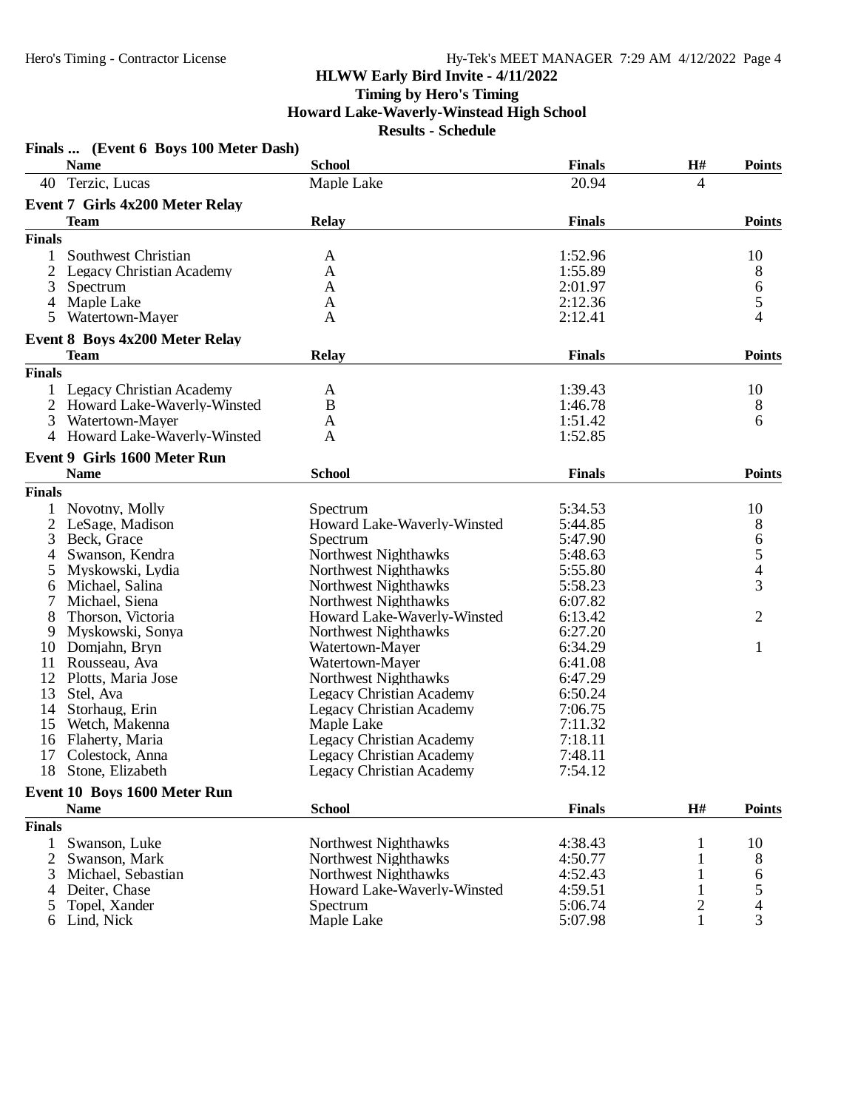#### **HLWW Early Bird Invite - 4/11/2022 Timing by Hero's Timing**

**Howard Lake-Waverly-Winstead High School**

|                | Finals  (Event 6 Boys 100 Meter Dash)  |                                 |               |                         |                          |
|----------------|----------------------------------------|---------------------------------|---------------|-------------------------|--------------------------|
|                | <b>Name</b>                            | <b>School</b>                   | <b>Finals</b> | H#                      | <b>Points</b>            |
| 40             | Terzic, Lucas                          | Maple Lake                      | 20.94         | 4                       |                          |
|                | <b>Event 7 Girls 4x200 Meter Relay</b> |                                 |               |                         |                          |
|                | <b>Team</b>                            | <b>Relay</b>                    | <b>Finals</b> |                         | <b>Points</b>            |
| <b>Finals</b>  |                                        |                                 |               |                         |                          |
| 1              | Southwest Christian                    | A                               | 1:52.96       |                         | 10                       |
| 2              | Legacy Christian Academy               | A                               | 1:55.89       |                         | 8                        |
| 3              | Spectrum                               | A                               | 2:01.97       |                         | 6                        |
| 4              | Maple Lake                             | A                               | 2:12.36       |                         | 5                        |
| 5              | Watertown-Mayer                        | A                               | 2:12.41       |                         | 4                        |
|                |                                        |                                 |               |                         |                          |
|                | <b>Event 8 Boys 4x200 Meter Relay</b>  |                                 |               |                         |                          |
|                | <b>Team</b>                            | <b>Relay</b>                    | <b>Finals</b> |                         | <b>Points</b>            |
| <b>Finals</b>  |                                        |                                 |               |                         |                          |
| 1              | <b>Legacy Christian Academy</b>        | A                               | 1:39.43       |                         | 10                       |
| 2              | Howard Lake-Waverly-Winsted            | B                               | 1:46.78       |                         | 8                        |
| 3              | Watertown-Mayer                        | A                               | 1:51.42       |                         | 6                        |
| 4              | Howard Lake-Waverly-Winsted            | A                               | 1:52.85       |                         |                          |
|                | Event 9 Girls 1600 Meter Run           |                                 |               |                         |                          |
|                | <b>Name</b>                            | <b>School</b>                   | <b>Finals</b> |                         | <b>Points</b>            |
| <b>Finals</b>  |                                        |                                 |               |                         |                          |
| 1              | Novotny, Molly                         | Spectrum                        | 5:34.53       |                         | 10                       |
| $\overline{2}$ | LeSage, Madison                        | Howard Lake-Waverly-Winsted     | 5:44.85       |                         | 8                        |
| 3              | Beck, Grace                            | Spectrum                        | 5:47.90       |                         | 6                        |
| 4              | Swanson, Kendra                        | Northwest Nighthawks            | 5:48.63       |                         |                          |
| 5              | Myskowski, Lydia                       | Northwest Nighthawks            | 5:55.80       |                         | $\frac{5}{4}$            |
| 6              | Michael, Salina                        | Northwest Nighthawks            | 5:58.23       |                         | 3                        |
| 7              | Michael, Siena                         | Northwest Nighthawks            | 6:07.82       |                         |                          |
| 8              | Thorson, Victoria                      | Howard Lake-Waverly-Winsted     | 6:13.42       |                         | 2                        |
| 9              | Myskowski, Sonya                       | Northwest Nighthawks            | 6:27.20       |                         |                          |
| 10             | Domjahn, Bryn                          | Watertown-Mayer                 | 6:34.29       |                         | 1                        |
| 11             | Rousseau, Ava                          | Watertown-Mayer                 | 6:41.08       |                         |                          |
| 12             | Plotts, Maria Jose                     | Northwest Nighthawks            | 6:47.29       |                         |                          |
| 13             | Stel, Ava                              | Legacy Christian Academy        | 6:50.24       |                         |                          |
| 14             | Storhaug, Erin                         | Legacy Christian Academy        | 7:06.75       |                         |                          |
| 15             | Wetch, Makenna                         | Maple Lake                      | 7:11.32       |                         |                          |
| 16             | Flaherty, Maria                        | <b>Legacy Christian Academy</b> | 7:18.11       |                         |                          |
| 17             | Colestock, Anna                        | <b>Legacy Christian Academy</b> | 7:48.11       |                         |                          |
| 18             | Stone, Elizabeth                       | <b>Legacy Christian Academy</b> | 7:54.12       |                         |                          |
|                | Event 10 Boys 1600 Meter Run           |                                 |               |                         |                          |
|                | <b>Name</b>                            | <b>School</b>                   | <b>Finals</b> | H#                      | <b>Points</b>            |
|                |                                        |                                 |               |                         |                          |
| <b>Finals</b>  |                                        |                                 |               |                         |                          |
| 1              | Swanson, Luke                          | <b>Northwest Nighthawks</b>     | 4:38.43       | 1                       | 10                       |
| 2              | Swanson, Mark                          | Northwest Nighthawks            | 4:50.77       | 1                       | 8                        |
| 3              | Michael, Sebastian                     | Northwest Nighthawks            | 4:52.43       |                         | 6                        |
| 4              | Deiter, Chase                          | Howard Lake-Waverly-Winsted     | 4:59.51       | 1                       | 5                        |
| 5              | Topel, Xander                          | Spectrum                        | 5:06.74       | $\overline{\mathbf{c}}$ | $\overline{\mathcal{A}}$ |
| 6              | Lind, Nick                             | Maple Lake                      | 5:07.98       | 1                       | 3                        |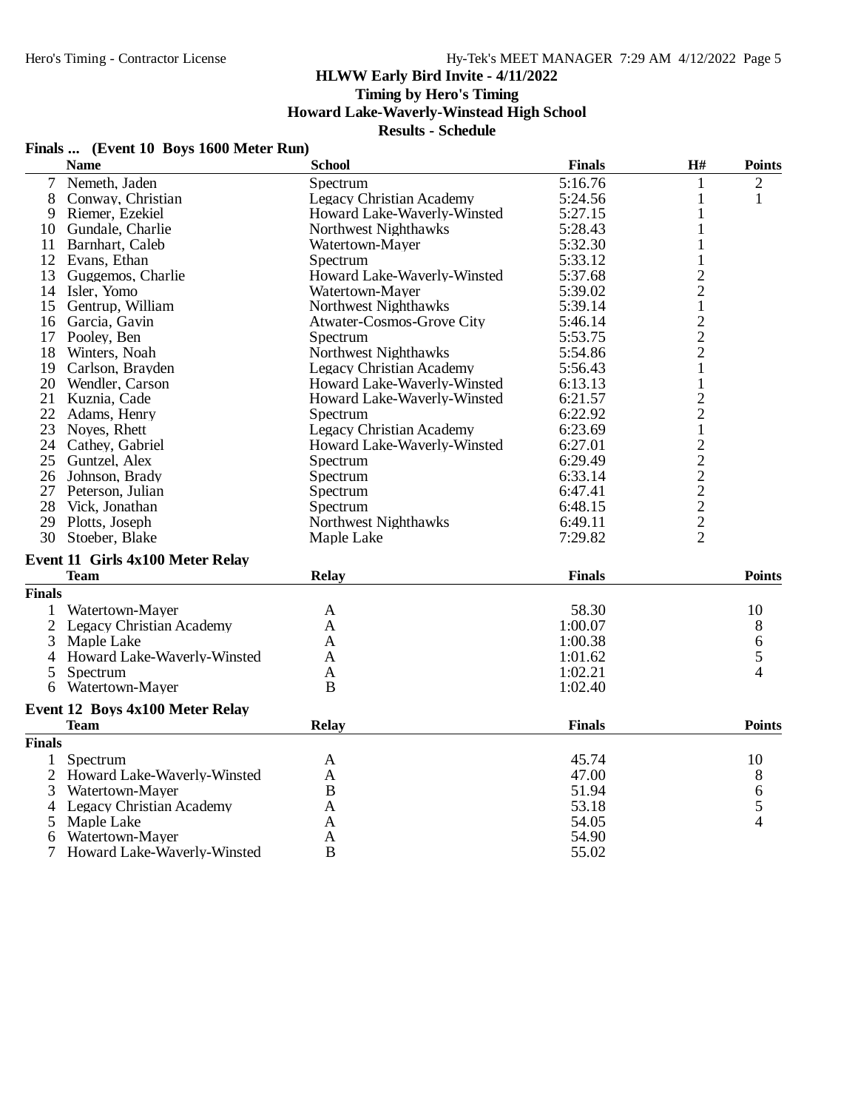# **Timing by Hero's Timing**

# **Howard Lake-Waverly-Winstead High School**

**Results - Schedule**

#### **Finals ... (Event 10 Boys 1600 Meter Run)**

|               | <b>Name</b>                             | <b>School</b>                   | <b>Finals</b> | H#                       | <b>Points</b>  |
|---------------|-----------------------------------------|---------------------------------|---------------|--------------------------|----------------|
|               | 7 Nemeth, Jaden                         | Spectrum                        | 5:16.76       | 1                        | $\overline{2}$ |
| 8             | Conway, Christian                       | Legacy Christian Academy        | 5:24.56       | 1                        | $\mathbf{1}$   |
| 9             | Riemer, Ezekiel                         | Howard Lake-Waverly-Winsted     | 5:27.15       | 1                        |                |
| 10            | Gundale, Charlie                        | <b>Northwest Nighthawks</b>     | 5:28.43       | 1                        |                |
| 11            | Barnhart, Caleb                         | Watertown-Mayer                 | 5:32.30       | $\mathbf{1}$             |                |
|               | 12 Evans, Ethan                         | Spectrum                        | 5:33.12       | $\mathbf{1}$             |                |
| 13            | Guggemos, Charlie                       | Howard Lake-Waverly-Winsted     | 5:37.68       |                          |                |
|               | 14 Isler, Yomo                          | Watertown-Mayer                 | 5:39.02       | $\frac{2}{2}$            |                |
|               | 15 Gentrup, William                     | Northwest Nighthawks            | 5:39.14       | $\mathbf{1}$             |                |
|               | 16 Garcia, Gavin                        | Atwater-Cosmos-Grove City       | 5:46.14       | $\overline{c}$           |                |
|               | 17 Pooley, Ben                          | Spectrum                        | 5:53.75       |                          |                |
|               | 18 Winters, Noah                        | Northwest Nighthawks            | 5:54.86       | $\frac{2}{2}$            |                |
|               | 19 Carlson, Brayden                     | Legacy Christian Academy        | 5:56.43       | $\mathbf{1}$             |                |
|               | 20 Wendler, Carson                      | Howard Lake-Waverly-Winsted     | 6:13.13       | $\mathbf{1}$             |                |
|               | 21 Kuznia, Cade                         | Howard Lake-Waverly-Winsted     | 6:21.57       | $\overline{c}$           |                |
| 22            | Adams, Henry                            | Spectrum                        | 6:22.92       | $\overline{2}$           |                |
|               | 23 Noves, Rhett                         | <b>Legacy Christian Academy</b> | 6:23.69       | $\mathbf{1}$             |                |
|               | 24 Cathey, Gabriel                      | Howard Lake-Waverly-Winsted     | 6:27.01       |                          |                |
|               | 25 Guntzel, Alex                        | Spectrum                        | 6:29.49       | $22222$<br>$222$<br>$22$ |                |
|               | 26 Johnson, Brady                       | Spectrum                        | 6:33.14       |                          |                |
|               | 27 Peterson, Julian                     | Spectrum                        | 6:47.41       |                          |                |
| 28            | Vick, Jonathan                          | Spectrum                        | 6:48.15       |                          |                |
| 29            | Plotts, Joseph                          | Northwest Nighthawks            | 6:49.11       |                          |                |
| 30            | Stoeber, Blake                          | Maple Lake                      | 7:29.82       |                          |                |
|               |                                         |                                 |               |                          |                |
|               | <b>Event 11 Girls 4x100 Meter Relay</b> |                                 |               |                          |                |
|               | <b>Team</b>                             | Relay                           | <b>Finals</b> |                          | <b>Points</b>  |
| <b>Finals</b> |                                         |                                 |               |                          |                |
|               | Watertown-Mayer                         | A                               | 58.30         |                          | 10             |
|               | 2 Legacy Christian Academy              | A                               | 1:00.07       |                          | 8              |
| 3             | Maple Lake                              | A                               | 1:00.38       |                          | 6              |
| 4             | Howard Lake-Waverly-Winsted             | A                               | 1:01.62       |                          | 5              |
| 5             | Spectrum                                | A                               | 1:02.21       |                          | 4              |
| 6             | Watertown-Mayer                         | <sub>B</sub>                    | 1:02.40       |                          |                |
|               | Event 12 Boys 4x100 Meter Relay         |                                 |               |                          |                |
|               | <b>Team</b>                             | <b>Relay</b>                    | <b>Finals</b> |                          | <b>Points</b>  |
| <b>Finals</b> |                                         |                                 |               |                          |                |
| $\mathbf{1}$  | Spectrum                                | A                               | 45.74         |                          | 10             |
|               | 2 Howard Lake-Waverly-Winsted           | $\mathbf{A}$                    | 47.00         |                          | 8              |
| 3             | Watertown-Mayer                         | $\bf{B}$                        | 51.94         |                          | 6              |
| 4             | <b>Legacy Christian Academy</b>         | $\mathbf{A}$                    | 53.18         |                          | 5              |
| 5             | Maple Lake                              | A                               | 54.05         |                          | 4              |
| 6             | Watertown-Mayer                         | $\mathbf{A}$                    | 54.90         |                          |                |
| 7             | Howard Lake-Waverly-Winsted             | $\overline{B}$                  | 55.02         |                          |                |
|               |                                         |                                 |               |                          |                |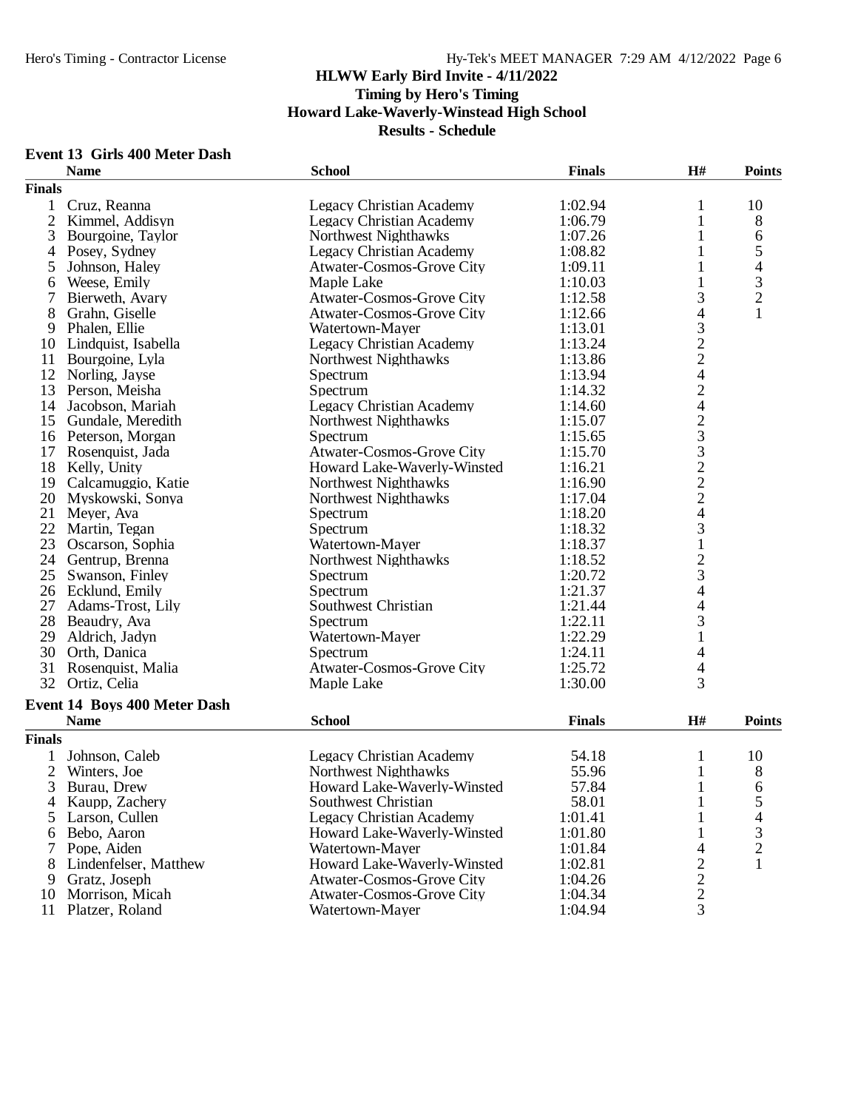#### **Event 13 Girls 400 Meter Dash**

|                | <b>Name</b>                  | <b>School</b>                    | <b>Finals</b> | H#                                         | <b>Points</b>            |
|----------------|------------------------------|----------------------------------|---------------|--------------------------------------------|--------------------------|
| <b>Finals</b>  |                              |                                  |               |                                            |                          |
| $\mathbf{1}$   | Cruz, Reanna                 | <b>Legacy Christian Academy</b>  | 1:02.94       | 1                                          | 10                       |
| $\overline{2}$ | Kimmel, Addisyn              | <b>Legacy Christian Academy</b>  | 1:06.79       | 1                                          | 8                        |
| 3              | Bourgoine, Taylor            | Northwest Nighthawks             | 1:07.26       | 1                                          | 6                        |
| 4              | Posey, Sydney                | <b>Legacy Christian Academy</b>  | 1:08.82       | 1                                          | 5                        |
| 5              | Johnson, Haley               | Atwater-Cosmos-Grove City        | 1:09.11       | 1                                          | $\overline{\mathcal{A}}$ |
| 6              | Weese, Emily                 | Maple Lake                       | 1:10.03       | $\mathbf{1}$                               | 3                        |
| 7              | Bierweth, Avary              | Atwater-Cosmos-Grove City        | 1:12.58       | 3                                          | $\overline{c}$           |
| 8              | Grahn, Giselle               | Atwater-Cosmos-Grove City        | 1:12.66       | $\overline{\mathcal{L}}$                   | 1                        |
| 9              | Phalen, Ellie                | Watertown-Mayer                  | 1:13.01       |                                            |                          |
| 10             | Lindquist, Isabella          | <b>Legacy Christian Academy</b>  | 1:13.24       |                                            |                          |
| 11             | Bourgoine, Lyla              | Northwest Nighthawks             | 1:13.86       |                                            |                          |
| 12             | Norling, Jayse               | Spectrum                         | 1:13.94       |                                            |                          |
| 13             | Person, Meisha               | Spectrum                         | 1:14.32       |                                            |                          |
| 14             | Jacobson, Mariah             | <b>Legacy Christian Academy</b>  | 1:14.60       |                                            |                          |
| 15             | Gundale, Meredith            | Northwest Nighthawks             | 1:15.07       |                                            |                          |
|                | 16 Peterson, Morgan          | Spectrum                         | 1:15.65       |                                            |                          |
| 17             | Rosenquist, Jada             | Atwater-Cosmos-Grove City        | 1:15.70       |                                            |                          |
|                | 18 Kelly, Unity              | Howard Lake-Waverly-Winsted      | 1:16.21       |                                            |                          |
| 19             | Calcamuggio, Katie           | Northwest Nighthawks             | 1:16.90       | 3224242332224                              |                          |
| 20             | Myskowski, Sonya             | Northwest Nighthawks             | 1:17.04       |                                            |                          |
| 21             | Meyer, Ava                   | Spectrum                         | 1:18.20       |                                            |                          |
| 22             | Martin, Tegan                | Spectrum                         | 1:18.32       | 3                                          |                          |
| 23             | Oscarson, Sophia             | Watertown-Mayer                  | 1:18.37       | $\mathbf 1$                                |                          |
|                | 24 Gentrup, Brenna           | Northwest Nighthawks             | 1:18.52       |                                            |                          |
| 25             | Swanson, Finley              | Spectrum                         | 1:20.72       | $\begin{array}{c} 2 \\ 3 \\ 4 \end{array}$ |                          |
|                | 26 Ecklund, Emily            | Spectrum                         | 1:21.37       |                                            |                          |
| 27             | Adams-Trost, Lily            | Southwest Christian              | 1:21.44       |                                            |                          |
| 28             | Beaudry, Ava                 | Spectrum                         | 1:22.11       | $rac{4}{3}$                                |                          |
| 29             | Aldrich, Jadyn               | Watertown-Mayer                  | 1:22.29       | $\mathbf{1}$                               |                          |
| 30             | Orth, Danica                 | Spectrum                         | 1:24.11       | 4                                          |                          |
| 31             | Rosenquist, Malia            | <b>Atwater-Cosmos-Grove City</b> | 1:25.72       | 4                                          |                          |
| 32             | Ortiz, Celia                 | Maple Lake                       | 1:30.00       | 3                                          |                          |
|                | Event 14 Boys 400 Meter Dash |                                  |               |                                            |                          |
|                | <b>Name</b>                  | <b>School</b>                    | <b>Finals</b> | H#                                         | <b>Points</b>            |
| <b>Finals</b>  |                              |                                  |               |                                            |                          |
|                | Johnson, Caleb               | <b>Legacy Christian Academy</b>  | 54.18         | 1                                          | 10                       |
| $\overline{2}$ | Winters, Joe                 | Northwest Nighthawks             | 55.96         | $\mathbf{1}$                               | 8                        |
| 3              | Burau, Drew                  | Howard Lake-Waverly-Winsted      | 57.84         | $\mathbf{1}$                               | 6                        |
| 4              | Kaupp, Zachery               | Southwest Christian              | 58.01         | 1                                          | 5                        |
| 5              | Larson, Cullen               | <b>Legacy Christian Academy</b>  | 1:01.41       |                                            | 4                        |
| 6              | Bebo, Aaron                  | Howard Lake-Waverly-Winsted      | 1:01.80       |                                            | $\mathfrak{Z}$           |
|                | Pope, Aiden                  | Watertown-Mayer                  | 1:01.84       | 4                                          | $\overline{c}$           |
| 8              | Lindenfelser, Matthew        | Howard Lake-Waverly-Winsted      | 1:02.81       | $\overline{c}$                             | $\mathbf{1}$             |
| 9              | Gratz, Joseph                | <b>Atwater-Cosmos-Grove City</b> | 1:04.26       | $\overline{c}$                             |                          |
| 10             | Morrison, Micah              | <b>Atwater-Cosmos-Grove City</b> | 1:04.34       | $\overline{c}$                             |                          |
| 11             | Platzer, Roland              | Watertown-Mayer                  | 1:04.94       | 3                                          |                          |
|                |                              |                                  |               |                                            |                          |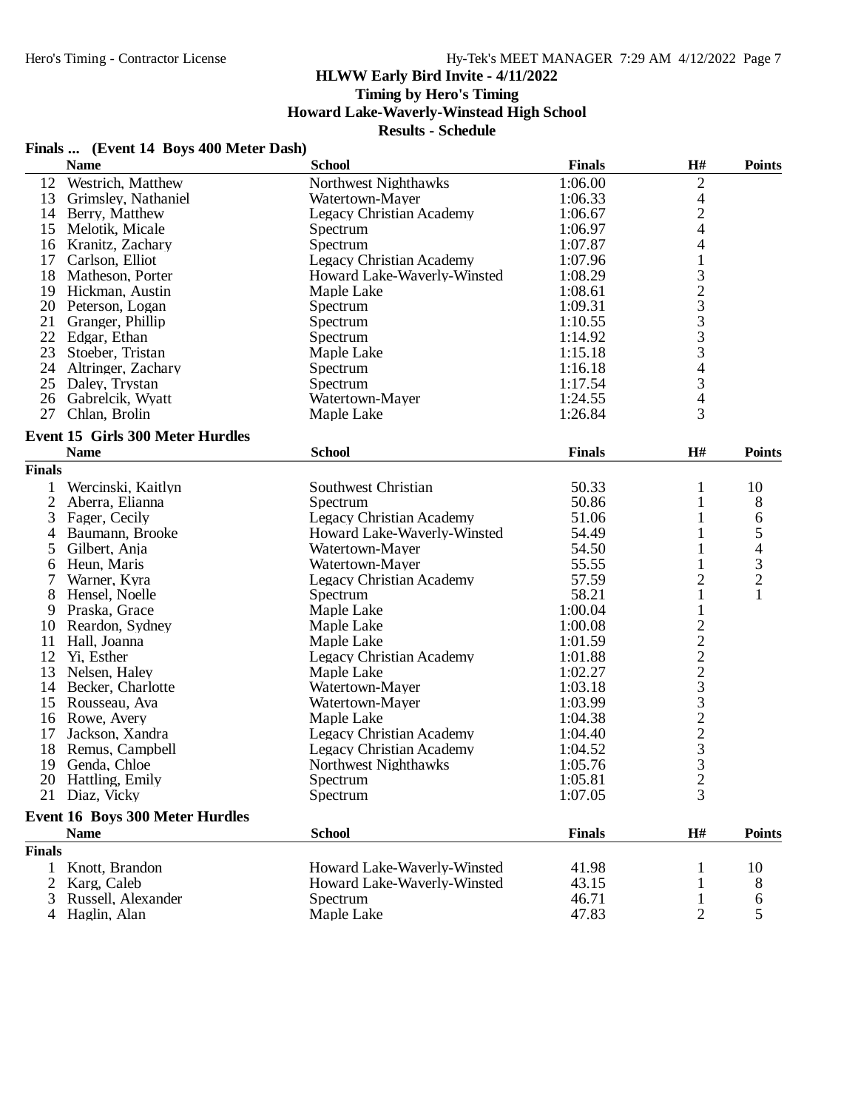# **Timing by Hero's Timing**

**Howard Lake-Waverly-Winstead High School**

**Results - Schedule**

# **Finals ... (Event 14 Boys 400 Meter Dash)**

|                | <b>Name</b>                                     | <b>School</b>                   | <b>Finals</b> | H#             | <b>Points</b>                              |
|----------------|-------------------------------------------------|---------------------------------|---------------|----------------|--------------------------------------------|
|                | 12 Westrich, Matthew                            | Northwest Nighthawks            | 1:06.00       | $\overline{c}$ |                                            |
|                | 13 Grimsley, Nathaniel                          | Watertown-Mayer                 | 1:06.33       |                |                                            |
|                | 14 Berry, Matthew                               | <b>Legacy Christian Academy</b> | 1:06.67       | $\frac{4}{2}$  |                                            |
| 15             | Melotik, Micale                                 | Spectrum                        | 1:06.97       |                |                                            |
| 16             | Kranitz, Zachary                                | Spectrum                        | 1:07.87       | 4              |                                            |
| 17             | Carlson, Elliot                                 | <b>Legacy Christian Academy</b> | 1:07.96       | $\mathbf{1}$   |                                            |
| 18             | Matheson, Porter                                | Howard Lake-Waverly-Winsted     | 1:08.29       |                |                                            |
|                | 19 Hickman, Austin                              | Maple Lake                      | 1:08.61       | $\frac{3}{2}$  |                                            |
|                | 20 Peterson, Logan                              | Spectrum                        | 1:09.31       |                |                                            |
|                | 21 Granger, Phillip                             | Spectrum                        | 1:10.55       | 3              |                                            |
|                | 22 Edgar, Ethan                                 | Spectrum                        | 1:14.92       | 3              |                                            |
| 23             | Stoeber, Tristan                                | Maple Lake                      | 1:15.18       | 3              |                                            |
|                | 24 Altringer, Zachary                           | Spectrum                        | 1:16.18       | 4              |                                            |
|                | 25 Daley, Trystan                               | Spectrum                        | 1:17.54       |                |                                            |
| 26             | Gabrelcik, Wyatt                                | Watertown-Mayer                 | 1:24.55       | $\frac{3}{4}$  |                                            |
| 27             |                                                 |                                 |               | $\overline{3}$ |                                            |
|                | Chlan, Brolin                                   | Maple Lake                      | 1:26.84       |                |                                            |
|                | Event 15 Girls 300 Meter Hurdles<br><b>Name</b> | <b>School</b>                   | <b>Finals</b> | H#             | <b>Points</b>                              |
| <b>Finals</b>  |                                                 |                                 |               |                |                                            |
| 1              | Wercinski, Kaitlyn                              | Southwest Christian             | 50.33         | 1              | 10                                         |
| $\overline{2}$ | Aberra, Elianna                                 | Spectrum                        | 50.86         | 1              | 8                                          |
| 3              | Fager, Cecily                                   | <b>Legacy Christian Academy</b> | 51.06         |                | 6                                          |
| 4              | Baumann, Brooke                                 | Howard Lake-Waverly-Winsted     | 54.49         | 1              | 5                                          |
| 5              | Gilbert, Anja                                   | Watertown-Mayer                 | 54.50         | 1              |                                            |
|                |                                                 |                                 | 55.55         |                | $\begin{array}{c} 4 \\ 3 \\ 2 \end{array}$ |
| 6<br>7         | Heun, Maris                                     | Watertown-Mayer                 |               |                |                                            |
|                | Warner, Kyra                                    | Legacy Christian Academy        | 57.59         | $\overline{c}$ |                                            |
| 8              | Hensel, Noelle                                  | Spectrum                        | 58.21         | 1              | $\mathbf{1}$                               |
| 9              | Praska, Grace                                   | Maple Lake                      | 1:00.04       |                |                                            |
| 10             | Reardon, Sydney                                 | Maple Lake                      | 1:00.08       |                |                                            |
| 11             | Hall, Joanna                                    | Maple Lake                      | 1:01.59       |                |                                            |
| 12             | Yi, Esther                                      | <b>Legacy Christian Academy</b> | 1:01.88       |                |                                            |
| 13             | Nelsen, Haley                                   | Maple Lake                      | 1:02.27       |                |                                            |
|                | 14 Becker, Charlotte                            | Watertown-Mayer                 | 1:03.18       |                |                                            |
| 15             | Rousseau, Ava                                   | Watertown-Mayer                 | 1:03.99       |                |                                            |
|                | 16 Rowe, Avery                                  | Maple Lake                      | 1:04.38       |                |                                            |
| 17             | Jackson, Xandra                                 | <b>Legacy Christian Academy</b> | 1:04.40       |                |                                            |
| 18             | Remus, Campbell                                 | <b>Legacy Christian Academy</b> | 1:04.52       | 222232223      |                                            |
| 19             | Genda, Chloe                                    | Northwest Nighthawks            | 1:05.76       |                |                                            |
|                | 20 Hattling, Emily                              | Spectrum                        | 1:05.81       | $\overline{c}$ |                                            |
|                | 21 Diaz, Vicky                                  | Spectrum                        | 1:07.05       | 3              |                                            |
|                | <b>Event 16 Boys 300 Meter Hurdles</b>          |                                 |               |                |                                            |
|                | <b>Name</b>                                     | <b>School</b>                   | <b>Finals</b> | H#             | <b>Points</b>                              |
| <b>Finals</b>  |                                                 |                                 |               |                |                                            |
|                | Knott, Brandon                                  | Howard Lake-Waverly-Winsted     | 41.98         |                | 10                                         |
| 2              | Karg, Caleb                                     | Howard Lake-Waverly-Winsted     | 43.15         |                | 8                                          |
| 3              | Russell, Alexander                              | Spectrum                        | 46.71         | $\mathbf{1}$   | 6                                          |
|                | 4 Haglin, Alan                                  | Maple Lake                      | 47.83         | $\overline{2}$ | 5                                          |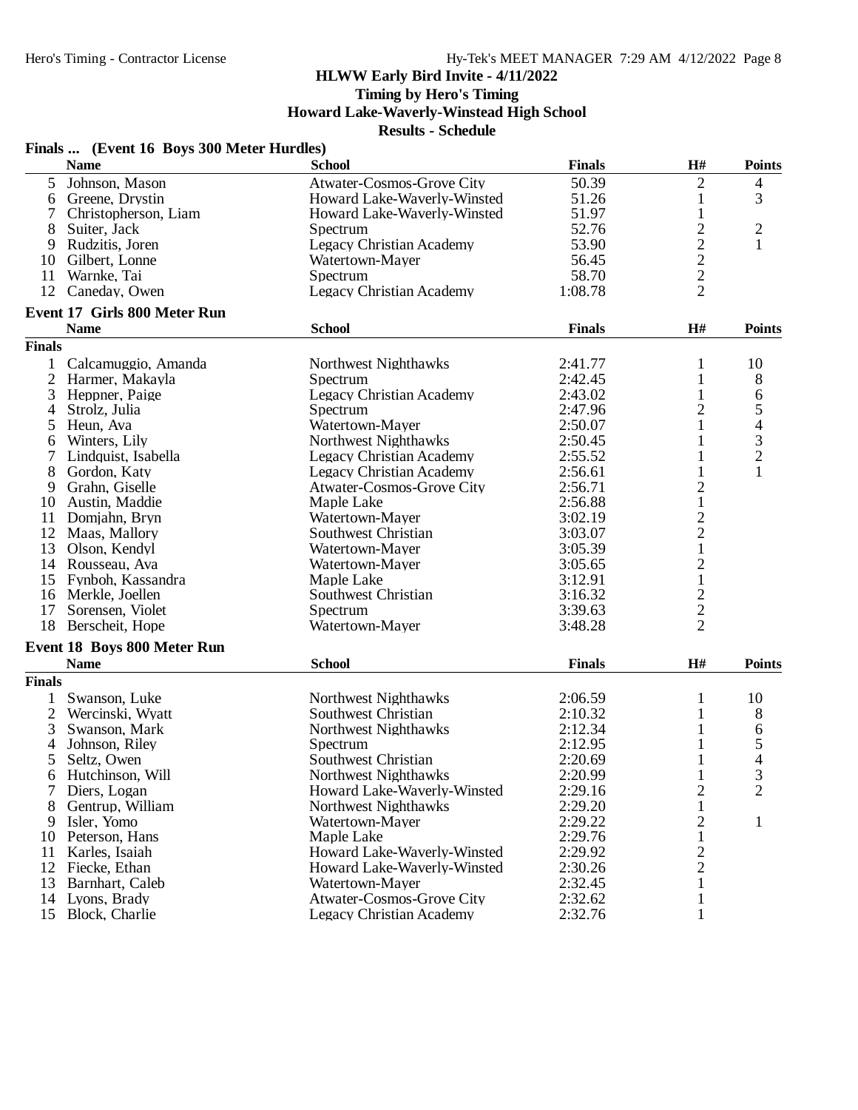**Timing by Hero's Timing**

**Howard Lake-Waverly-Winstead High School**

|                | Finals  (Event 16 Boys 300 Meter Hurdles) |                                  |               |                                            |                |
|----------------|-------------------------------------------|----------------------------------|---------------|--------------------------------------------|----------------|
|                | <b>Name</b>                               | <b>School</b>                    | <b>Finals</b> | H#                                         | <b>Points</b>  |
| 5              | Johnson, Mason                            | Atwater-Cosmos-Grove City        | 50.39         | $\overline{2}$                             | 4              |
| 6              | Greene, Drystin                           | Howard Lake-Waverly-Winsted      | 51.26         | 1                                          | 3              |
| 7              | Christopherson, Liam                      | Howard Lake-Waverly-Winsted      | 51.97         | $\mathbf{1}$                               |                |
| 8              | Suiter, Jack                              | Spectrum                         | 52.76         | $\overline{c}$                             | $\overline{c}$ |
| 9              | Rudzitis, Joren                           | <b>Legacy Christian Academy</b>  | 53.90         |                                            | 1              |
| 10             | Gilbert, Lonne                            | Watertown-Mayer                  | 56.45         |                                            |                |
| 11             | Warnke, Tai                               | Spectrum                         | 58.70         |                                            |                |
| 12             | Caneday, Owen                             | <b>Legacy Christian Academy</b>  | 1:08.78       | $\begin{array}{c} 2 \\ 2 \\ 2 \end{array}$ |                |
|                | <b>Event 17 Girls 800 Meter Run</b>       |                                  |               |                                            |                |
|                | <b>Name</b>                               | <b>School</b>                    | <b>Finals</b> | $\mathbf{H}^{\#}$                          | <b>Points</b>  |
| <b>Finals</b>  |                                           |                                  |               |                                            |                |
| $\mathbf{1}$   | Calcamuggio, Amanda                       | Northwest Nighthawks             | 2:41.77       | 1                                          | 10             |
| $\overline{2}$ | Harmer, Makayla                           | Spectrum                         | 2:42.45       | 1                                          | 8              |
| 3              | Heppner, Paige                            | Legacy Christian Academy         | 2:43.02       | 1                                          | 6              |
| $\overline{4}$ | Strolz, Julia                             | Spectrum                         | 2:47.96       | $\overline{c}$                             | 5              |
| 5              | Heun, Ava                                 | Watertown-Mayer                  | 2:50.07       | 1                                          | $\overline{4}$ |
| 6              | Winters, Lily                             | Northwest Nighthawks             | 2:50.45       | 1                                          |                |
| 7              | Lindquist, Isabella                       | Legacy Christian Academy         | 2:55.52       | 1                                          | $\frac{3}{2}$  |
| 8              | Gordon, Katy                              | <b>Legacy Christian Academy</b>  | 2:56.61       | $\mathbf{1}$                               | $\mathbf{1}$   |
| 9              | Grahn, Giselle                            | Atwater-Cosmos-Grove City        | 2:56.71       | $\overline{c}$                             |                |
| 10             | Austin, Maddie                            | Maple Lake                       | 2:56.88       | $\mathbf{1}$                               |                |
| 11             | Domjahn, Bryn                             | Watertown-Mayer                  | 3:02.19       |                                            |                |
| 12             | Maas, Mallory                             | Southwest Christian              | 3:03.07       |                                            |                |
| 13             |                                           | Watertown-Mayer                  | 3:05.39       | $\frac{2}{1}$                              |                |
|                | Olson, Kendyl                             |                                  |               |                                            |                |
| 14             | Rousseau, Ava                             | Watertown-Mayer                  | 3:05.65       | $\frac{2}{1}$                              |                |
|                | 15 Fynboh, Kassandra                      | Maple Lake                       | 3:12.91       |                                            |                |
|                | 16 Merkle, Joellen                        | Southwest Christian              | 3:16.32       |                                            |                |
| 17             | Sorensen, Violet                          | Spectrum                         | 3:39.63       | $\frac{2}{2}$                              |                |
| 18             | Berscheit, Hope                           | Watertown-Mayer                  | 3:48.28       |                                            |                |
|                | <b>Event 18 Boys 800 Meter Run</b>        |                                  |               |                                            |                |
|                | <b>Name</b>                               | <b>School</b>                    | <b>Finals</b> | H#                                         | <b>Points</b>  |
| <b>Finals</b>  |                                           |                                  |               |                                            |                |
| $\mathbf{1}$   | Swanson, Luke                             | Northwest Nighthawks             | 2:06.59       | 1                                          | 10             |
| $\overline{2}$ | Wercinski, Wyatt                          | Southwest Christian              | 2:10.32       | 1                                          | 8              |
| 3              | Swanson, Mark                             | Northwest Nighthawks             | 2:12.34       | 1                                          | 6              |
| 4              | Johnson, Riley                            | Spectrum                         | 2:12.95       | 1                                          | 5              |
| 5              | Seltz, Owen                               | Southwest Christian              | 2:20.69       | 1                                          | $\overline{4}$ |
| 6              | Hutchinson, Will                          | Northwest Nighthawks             | 2:20.99       | $\mathbf{1}$                               | 3              |
| 7              | Diers, Logan                              | Howard Lake-Waverly-Winsted      | 2:29.16       | $\overline{c}$                             | $\overline{2}$ |
| 8              | Gentrup, William                          | Northwest Nighthawks             | 2:29.20       | $\mathbf{1}$                               |                |
| 9              | Isler, Yomo                               | Watertown-Mayer                  | 2:29.22       | $\overline{c}$                             | $\mathbf{1}$   |
| 10             | Peterson, Hans                            | Maple Lake                       | 2:29.76       | $\mathbf{1}$                               |                |
| 11             | Karles, Isaiah                            | Howard Lake-Waverly-Winsted      | 2:29.92       | $\overline{c}$                             |                |
| 12             | Fiecke, Ethan                             | Howard Lake-Waverly-Winsted      | 2:30.26       | $\overline{c}$                             |                |
| 13             | Barnhart, Caleb                           | Watertown-Mayer                  | 2:32.45       | 1                                          |                |
| 14             | Lyons, Brady                              | <b>Atwater-Cosmos-Grove City</b> | 2:32.62       | 1                                          |                |
| 15             | Block, Charlie                            | <b>Legacy Christian Academy</b>  | 2:32.76       | 1                                          |                |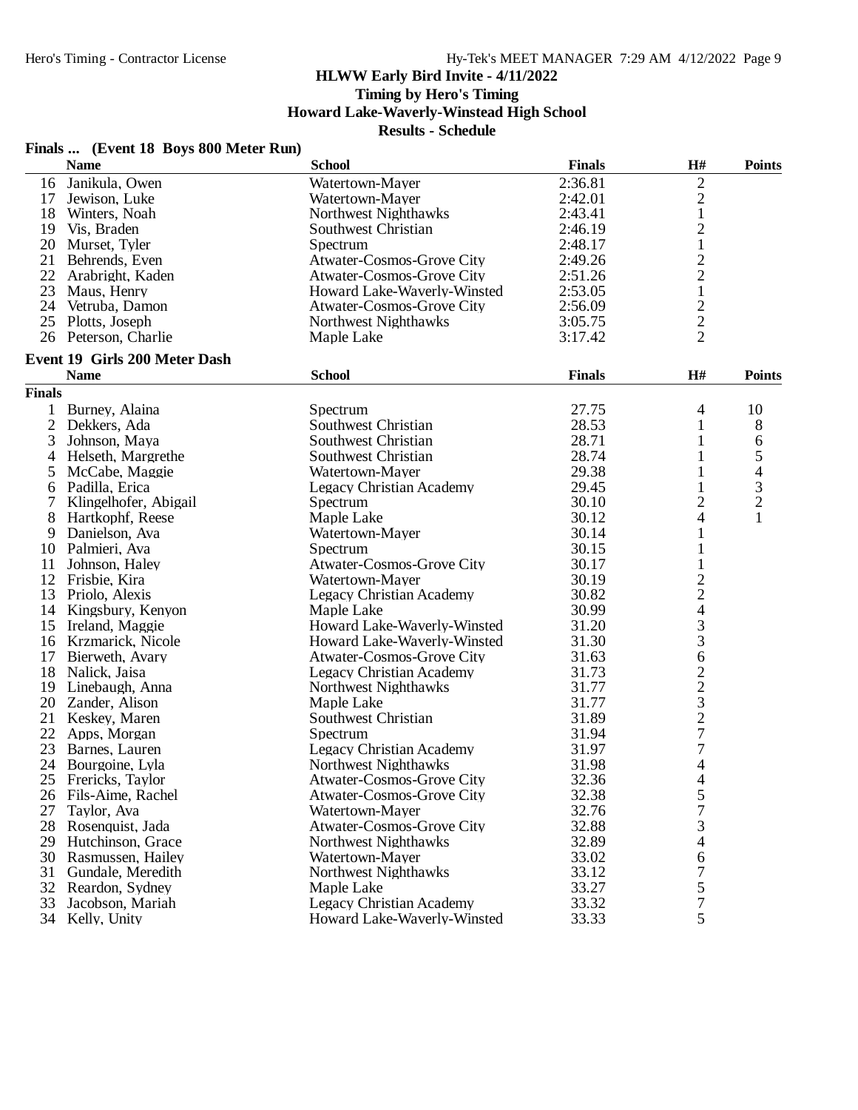**Timing by Hero's Timing**

**Howard Lake-Waverly-Winstead High School**

**Results - Schedule**

|               | Finals  (Event 18 Boys 800 Meter Run)<br><b>Name</b> | <b>School</b>                    | <b>Finals</b> | H#                                                     | <b>Points</b>            |
|---------------|------------------------------------------------------|----------------------------------|---------------|--------------------------------------------------------|--------------------------|
|               | 16 Janikula, Owen                                    | Watertown-Mayer                  | 2:36.81       | $\sqrt{2}$                                             |                          |
| 17            | Jewison, Luke                                        | Watertown-Mayer                  | 2:42.01       | $\overline{2}$                                         |                          |
|               | 18 Winters, Noah                                     | Northwest Nighthawks             | 2:43.41       | $\mathbf 1$                                            |                          |
|               | 19 Vis, Braden                                       | Southwest Christian              | 2:46.19       | $\overline{c}$                                         |                          |
|               | 20 Murset, Tyler                                     | Spectrum                         | 2:48.17       | $\,1$                                                  |                          |
| 21            | Behrends, Even                                       | <b>Atwater-Cosmos-Grove City</b> | 2:49.26       |                                                        |                          |
| 22            | Arabright, Kaden                                     | Atwater-Cosmos-Grove City        | 2:51.26       | $\begin{array}{c} 2 \\ 2 \\ 1 \end{array}$             |                          |
| 23            | Maus, Henry                                          | Howard Lake-Waverly-Winsted      | 2:53.05       |                                                        |                          |
|               | 24 Vetruba, Damon                                    | <b>Atwater-Cosmos-Grove City</b> | 2:56.09       | $\overline{c}$                                         |                          |
|               | 25 Plotts, Joseph                                    | Northwest Nighthawks             | 3:05.75       |                                                        |                          |
|               | 26 Peterson, Charlie                                 | Maple Lake                       | 3:17.42       | $\frac{2}{2}$                                          |                          |
|               | Event 19 Girls 200 Meter Dash                        |                                  |               |                                                        |                          |
|               | <b>Name</b>                                          | <b>School</b>                    | <b>Finals</b> | H#                                                     | <b>Points</b>            |
| <b>Finals</b> |                                                      |                                  |               |                                                        |                          |
|               | 1 Burney, Alaina                                     | Spectrum                         | 27.75         | $\overline{4}$                                         | 10                       |
| 2             | Dekkers, Ada                                         | Southwest Christian              | 28.53         | 1                                                      | 8                        |
| 3             | Johnson, Maya                                        | Southwest Christian              | 28.71         | 1                                                      | 6                        |
| 4             | Helseth, Margrethe                                   | Southwest Christian              | 28.74         | 1                                                      | 5                        |
| 5             | McCabe, Maggie                                       | Watertown-Mayer                  | 29.38         | 1                                                      | $\overline{\mathcal{A}}$ |
| 6             | Padilla, Erica                                       | <b>Legacy Christian Academy</b>  | 29.45         | $\mathbf{1}$                                           | 3                        |
|               | Klingelhofer, Abigail                                | Spectrum                         | 30.10         | $\overline{c}$                                         | $\overline{c}$           |
| 8             | Hartkophf, Reese                                     | Maple Lake                       | 30.12         | $\overline{\mathcal{L}}$                               | $\mathbf{1}$             |
|               | 9 Danielson, Ava                                     | Watertown-Mayer                  | 30.14         | $\mathbf{1}$                                           |                          |
|               | 10 Palmieri, Ava                                     | Spectrum                         | 30.15         | $\mathbf{1}$                                           |                          |
| 11            | Johnson, Haley                                       | Atwater-Cosmos-Grove City        | 30.17         | $\mathbf{1}$                                           |                          |
| 12            | Frisbie, Kira                                        | Watertown-Mayer                  | 30.19         |                                                        |                          |
| 13            | Priolo, Alexis                                       | <b>Legacy Christian Academy</b>  | 30.82         | $\begin{array}{c} 2 \\ 2 \\ 4 \\ 3 \end{array}$        |                          |
|               | 14 Kingsbury, Kenyon                                 | Maple Lake                       | 30.99         |                                                        |                          |
|               | 15 Ireland, Maggie                                   | Howard Lake-Waverly-Winsted      | 31.20         |                                                        |                          |
|               | 16 Krzmarick, Nicole                                 | Howard Lake-Waverly-Winsted      | 31.30         | 3                                                      |                          |
|               | 17 Bierweth, Avary                                   | Atwater-Cosmos-Grove City        | 31.63         | 6                                                      |                          |
|               | 18 Nalick, Jaisa                                     | <b>Legacy Christian Academy</b>  | 31.73         |                                                        |                          |
|               | 19 Linebaugh, Anna                                   | Northwest Nighthawks             | 31.77         | $\begin{array}{c}\n2 \\ 2 \\ 3 \\ 2 \\ 7\n\end{array}$ |                          |
| 20            | Zander, Alison                                       | Maple Lake                       | 31.77         |                                                        |                          |
|               | 21 Keskey, Maren                                     | Southwest Christian              | 31.89         |                                                        |                          |
| 22            | Apps, Morgan                                         | Spectrum                         | 31.94         |                                                        |                          |
| 23            | Barnes, Lauren                                       | <b>Legacy Christian Academy</b>  | 31.97         | $\sqrt{ }$                                             |                          |
|               | 24 Bourgoine, Lyla                                   | Northwest Nighthawks             | 31.98         | 4                                                      |                          |
| 25            | Frericks, Taylor                                     | Atwater-Cosmos-Grove City        | 32.36         | 4                                                      |                          |
| 26            | Fils-Aime, Rachel                                    | <b>Atwater-Cosmos-Grove City</b> | 32.38         | 5                                                      |                          |
| 27            | Taylor, Ava                                          | Watertown-Mayer                  | 32.76         | $\sqrt{ }$                                             |                          |
| 28            | Rosenquist, Jada                                     | <b>Atwater-Cosmos-Grove City</b> | 32.88         | 3                                                      |                          |
| 29            | Hutchinson, Grace                                    | Northwest Nighthawks             | 32.89         | 4                                                      |                          |
| 30            | Rasmussen, Hailey                                    | Watertown-Mayer                  | 33.02         | 6                                                      |                          |
| 31            | Gundale, Meredith                                    | <b>Northwest Nighthawks</b>      | 33.12         | 7                                                      |                          |
| 32            | Reardon, Sydney                                      | Maple Lake                       | 33.27         | 5                                                      |                          |
| 33            | Jacobson, Mariah                                     | Legacy Christian Academy         | 33.32         | 7                                                      |                          |
|               | 34 Kelly, Unity                                      | Howard Lake-Waverly-Winsted      | 33.33         | 5                                                      |                          |
|               |                                                      |                                  |               |                                                        |                          |

#### **Finals ... (Event 18 Boys 800 Meter Run)**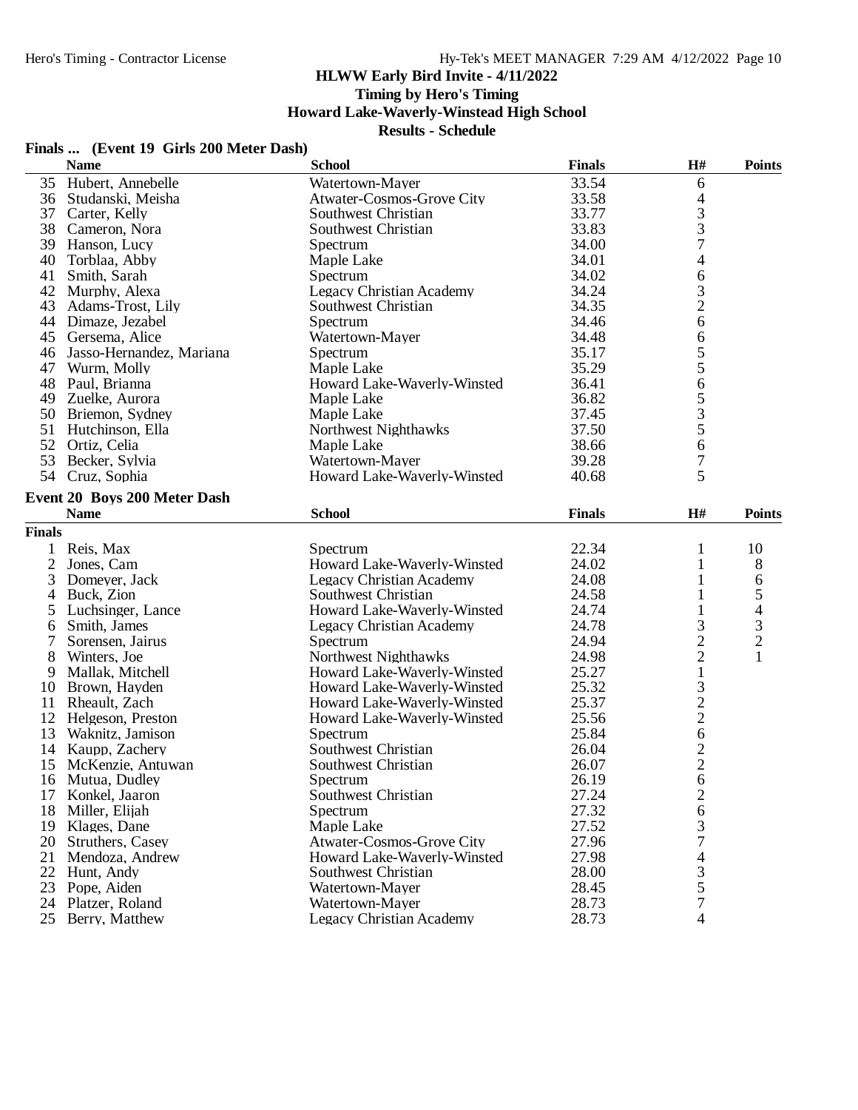# **Timing by Hero's Timing**

**Howard Lake-Waverly-Winstead High School**

#### **Results - Schedule**

# **Finals ... (Event 19 Girls 200 Meter Dash)**

|                     | <b>Name</b>                  | <b>School</b>                        | <b>Finals</b> | $\mathbf{H}$ #           | <b>Points</b>            |
|---------------------|------------------------------|--------------------------------------|---------------|--------------------------|--------------------------|
|                     | 35 Hubert, Annebelle         | Watertown-Mayer                      | 33.54         | 6                        |                          |
| 36                  | Studanski, Meisha            | <b>Atwater-Cosmos-Grove City</b>     | 33.58         | $\overline{4}$           |                          |
|                     | 37 Carter, Kelly             | Southwest Christian                  | 33.77         |                          |                          |
| 38                  | Cameron, Nora                | Southwest Christian                  | 33.83         | $\frac{3}{7}$            |                          |
| 39                  | Hanson, Lucy                 | Spectrum                             | 34.00         |                          |                          |
| 40                  | Torblaa, Abby                | Maple Lake                           | 34.01         | 4                        |                          |
| 41                  | Smith, Sarah                 | Spectrum                             | 34.02         | 6                        |                          |
| 42                  | Murphy, Alexa                | <b>Legacy Christian Academy</b>      | 34.24         | 3                        |                          |
| 43                  | Adams-Trost, Lily            | Southwest Christian                  | 34.35         | $\overline{c}$           |                          |
|                     | 44 Dimaze, Jezabel           | Spectrum                             | 34.46         | 6                        |                          |
| 45                  | Gersema, Alice               | Watertown-Mayer                      | 34.48         | 6                        |                          |
| 46                  | Jasso-Hernandez, Mariana     | Spectrum                             | 35.17         | 5                        |                          |
| 47                  | Wurm, Molly                  | Maple Lake                           | 35.29         | 5                        |                          |
| 48                  | Paul, Brianna                | Howard Lake-Waverly-Winsted          | 36.41         | 6                        |                          |
|                     | 49 Zuelke, Aurora            | Maple Lake                           | 36.82         |                          |                          |
| 50                  | Briemon, Sydney              | Maple Lake                           | 37.45         | $\frac{5}{3}$            |                          |
| 51                  | Hutchinson, Ella             | Northwest Nighthawks                 | 37.50         |                          |                          |
| 52                  | Ortiz, Celia                 | Maple Lake                           | 38.66         | 6                        |                          |
| 53                  | Becker, Sylvia               | Watertown-Mayer                      | 39.28         | 7                        |                          |
|                     | 54 Cruz, Sophia              | Howard Lake-Waverly-Winsted          | 40.68         | 5                        |                          |
|                     | Event 20 Boys 200 Meter Dash |                                      |               |                          |                          |
|                     | <b>Name</b>                  | <b>School</b>                        | <b>Finals</b> | $\mathbf{H}$ #           | <b>Points</b>            |
| <b>Finals</b>       |                              |                                      |               |                          |                          |
|                     |                              | Spectrum                             | 22.34         | 1                        | 10                       |
| $\mathbf{1}$        | Reis, Max<br>Jones, Cam      | Howard Lake-Waverly-Winsted          | 24.02         | 1                        |                          |
| $\overline{2}$<br>3 | Domeyer, Jack                | <b>Legacy Christian Academy</b>      | 24.08         | 1                        | 8<br>6                   |
| 4                   | Buck, Zion                   | Southwest Christian                  | 24.58         | 1                        | 5                        |
| 5                   | Luchsinger, Lance            | Howard Lake-Waverly-Winsted          | 24.74         | $\mathbf{1}$             |                          |
|                     | Smith, James                 |                                      | 24.78         |                          | $\overline{\mathcal{A}}$ |
| 6<br>7              | Sorensen, Jairus             | Legacy Christian Academy<br>Spectrum | 24.94         | $\frac{3}{2}$            | $\frac{3}{2}$            |
| 8                   | Winters, Joe                 | Northwest Nighthawks                 | 24.98         | $\overline{c}$           | $\mathbf{1}$             |
| 9                   | Mallak, Mitchell             | Howard Lake-Waverly-Winsted          | 25.27         | $\mathbf{1}$             |                          |
| 10                  | Brown, Hayden                | Howard Lake-Waverly-Winsted          | 25.32         |                          |                          |
| 11                  | Rheault, Zach                | Howard Lake-Waverly-Winsted          | 25.37         |                          |                          |
| 12                  | Helgeson, Preston            | Howard Lake-Waverly-Winsted          | 25.56         | $\frac{3}{2}$            |                          |
| 13                  | Waknitz, Jamison             | Spectrum                             | 25.84         | 6                        |                          |
| 14                  | Kaupp, Zachery               | Southwest Christian                  | 26.04         |                          |                          |
| 15                  | McKenzie, Antuwan            | Southwest Christian                  | 26.07         | $\frac{2}{2}$            |                          |
| 16                  | Mutua, Dudley                | Spectrum                             | 26.19         | 6                        |                          |
| 17                  | Konkel, Jaaron               | Southwest Christian                  | 27.24         |                          |                          |
| 18                  | Miller, Elijah               | Spectrum                             | 27.32         | $\overline{c}$<br>6      |                          |
| 19                  | Klages, Dane                 | Maple Lake                           | 27.52         | 3                        |                          |
| 20                  | Struthers, Casey             | <b>Atwater-Cosmos-Grove City</b>     | 27.96         | $\overline{7}$           |                          |
| 21                  | Mendoza, Andrew              | Howard Lake-Waverly-Winsted          | 27.98         | $\overline{\mathcal{A}}$ |                          |
| 22                  | Hunt, Andy                   | Southwest Christian                  | 28.00         |                          |                          |
| 23                  | Pope, Aiden                  | Watertown-Mayer                      | 28.45         | $\frac{3}{5}$            |                          |
| 24                  | Platzer, Roland              | Watertown-Mayer                      | 28.73         |                          |                          |
|                     | 25 Berry, Matthew            | <b>Legacy Christian Academy</b>      | 28.73         | 4                        |                          |
|                     |                              |                                      |               |                          |                          |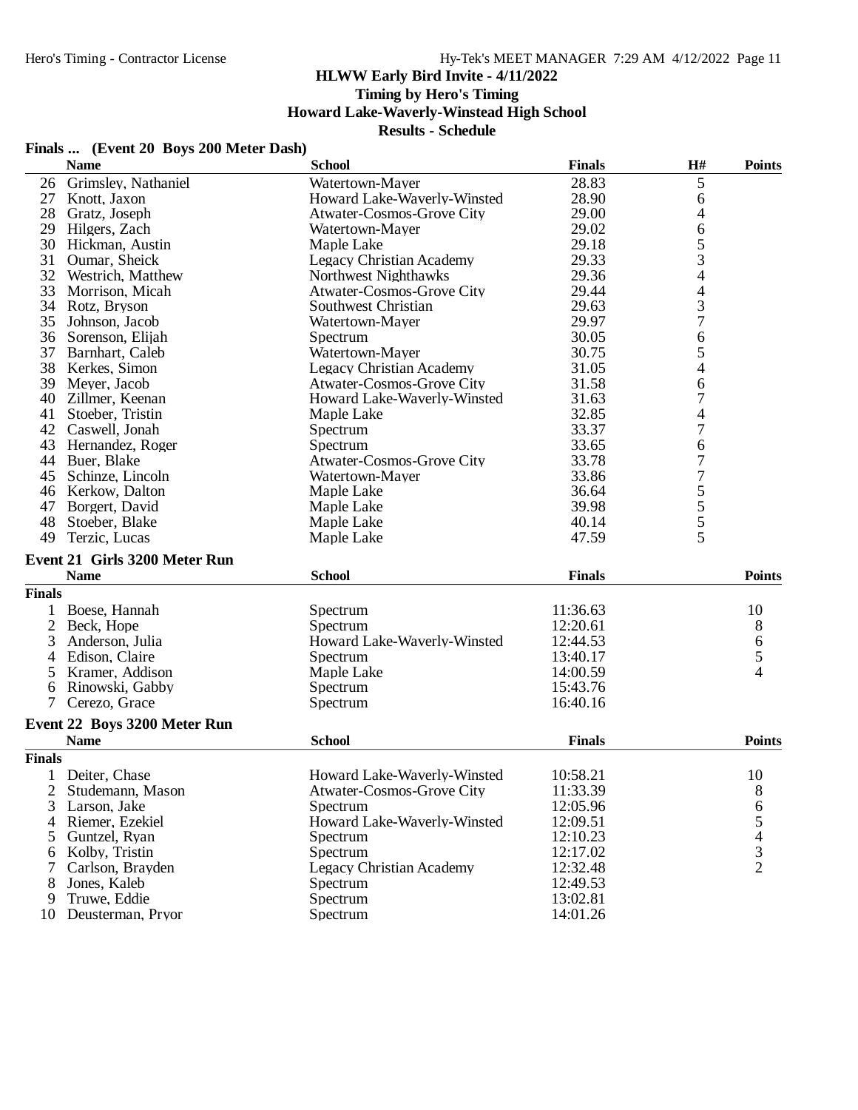# **Timing by Hero's Timing**

# **Howard Lake-Waverly-Winstead High School**

|      | Finals  (Event 20 Boys 200 Meter Dash) |                           |
|------|----------------------------------------|---------------------------|
| Nome |                                        | $C_2$ <sub>b</sub> $\sim$ |

|               | <b>Name</b>                   | <b>School</b>                   | <b>Finals</b> | H#                       | <b>Points</b>                                   |
|---------------|-------------------------------|---------------------------------|---------------|--------------------------|-------------------------------------------------|
| 26            | Grimsley, Nathaniel           | Watertown-Mayer                 | 28.83         | 5                        |                                                 |
| 27            | Knott, Jaxon                  | Howard Lake-Waverly-Winsted     | 28.90         | 6                        |                                                 |
| 28            | Gratz, Joseph                 | Atwater-Cosmos-Grove City       | 29.00         | 4                        |                                                 |
| 29            | Hilgers, Zach                 | Watertown-Mayer                 | 29.02         | 6                        |                                                 |
| 30            | Hickman, Austin               | Maple Lake                      | 29.18         | 5                        |                                                 |
| 31            | Oumar, Sheick                 | <b>Legacy Christian Academy</b> | 29.33         | 3                        |                                                 |
|               | 32 Westrich, Matthew          | Northwest Nighthawks            | 29.36         | 4                        |                                                 |
| 33            | Morrison, Micah               | Atwater-Cosmos-Grove City       | 29.44         | $\overline{\mathcal{L}}$ |                                                 |
|               | 34 Rotz, Bryson               | Southwest Christian             | 29.63         | 3                        |                                                 |
| 35            | Johnson, Jacob                | Watertown-Mayer                 | 29.97         | $\overline{7}$           |                                                 |
| 36            | Sorenson, Elijah              | Spectrum                        | 30.05         | 6                        |                                                 |
| 37            | Barnhart, Caleb               | Watertown-Mayer                 | 30.75         | 5                        |                                                 |
| 38            | Kerkes, Simon                 | <b>Legacy Christian Academy</b> | 31.05         | 4                        |                                                 |
| 39            | Meyer, Jacob                  | Atwater-Cosmos-Grove City       | 31.58         | 6                        |                                                 |
|               | 40 Zillmer, Keenan            | Howard Lake-Waverly-Winsted     | 31.63         | 7                        |                                                 |
| 41            | Stoeber, Tristin              | Maple Lake                      | 32.85         | 4                        |                                                 |
| 42            | Caswell, Jonah                | Spectrum                        | 33.37         | $\overline{7}$           |                                                 |
|               | 43 Hernandez, Roger           | Spectrum                        | 33.65         | 6                        |                                                 |
|               | 44 Buer, Blake                | Atwater-Cosmos-Grove City       | 33.78         | $\overline{7}$           |                                                 |
| 45            | Schinze, Lincoln              | Watertown-Mayer                 | 33.86         | 7                        |                                                 |
|               | 46 Kerkow, Dalton             | Maple Lake                      | 36.64         |                          |                                                 |
| 47            | Borgert, David                | Maple Lake                      | 39.98         | $\frac{5}{5}$            |                                                 |
| 48            | Stoeber, Blake                | Maple Lake                      | 40.14         |                          |                                                 |
| 49            | Terzic, Lucas                 | Maple Lake                      | 47.59         | 5                        |                                                 |
|               |                               |                                 |               |                          |                                                 |
|               | Event 21 Girls 3200 Meter Run |                                 |               |                          |                                                 |
|               | <b>Name</b>                   | <b>School</b>                   | <b>Finals</b> |                          | <b>Points</b>                                   |
| <b>Finals</b> |                               |                                 |               |                          |                                                 |
| 1             | Boese, Hannah                 | Spectrum                        | 11:36.63      |                          | 10                                              |
|               | 2 Beck, Hope                  | Spectrum                        | 12:20.61      |                          | $8\,$                                           |
| 3             | Anderson, Julia               | Howard Lake-Waverly-Winsted     | 12:44.53      |                          | 6                                               |
| 4             | Edison, Claire                | Spectrum                        | 13:40.17      |                          | 5                                               |
| 5             | Kramer, Addison               | Maple Lake                      | 14:00.59      |                          | 4                                               |
| 6             | Rinowski, Gabby               | Spectrum                        | 15:43.76      |                          |                                                 |
| $7^{\circ}$   | Cerezo, Grace                 | Spectrum                        | 16:40.16      |                          |                                                 |
|               | Event 22 Boys 3200 Meter Run  |                                 |               |                          |                                                 |
|               | <b>Name</b>                   | <b>School</b>                   | <b>Finals</b> |                          | <b>Points</b>                                   |
| <b>Finals</b> |                               |                                 |               |                          |                                                 |
|               | 1 Deiter, Chase               | Howard Lake-Waverly-Winsted     | 10:58.21      |                          | 10                                              |
|               | 2 Studemann, Mason            | Atwater-Cosmos-Grove City       | 11:33.39      |                          | 8                                               |
| 3             | Larson, Jake                  | Spectrum                        | 12:05.96      |                          | 6                                               |
| 4             | Riemer, Ezekiel               | Howard Lake-Waverly-Winsted     | 12:09.51      |                          |                                                 |
| 5             | Guntzel, Ryan                 | Spectrum                        | 12:10.23      |                          |                                                 |
| 6             | Kolby, Tristin                | Spectrum                        | 12:17.02      |                          |                                                 |
| 7             | Carlson, Brayden              | <b>Legacy Christian Academy</b> | 12:32.48      |                          | $\begin{array}{c} 5 \\ 4 \\ 3 \\ 2 \end{array}$ |
| 8             | Jones, Kaleb                  | Spectrum                        | 12:49.53      |                          |                                                 |
| 9             | Truwe, Eddie                  | Spectrum                        | 13:02.81      |                          |                                                 |
|               | 10 Deusterman, Pryor          | Spectrum                        | 14:01.26      |                          |                                                 |
|               |                               |                                 |               |                          |                                                 |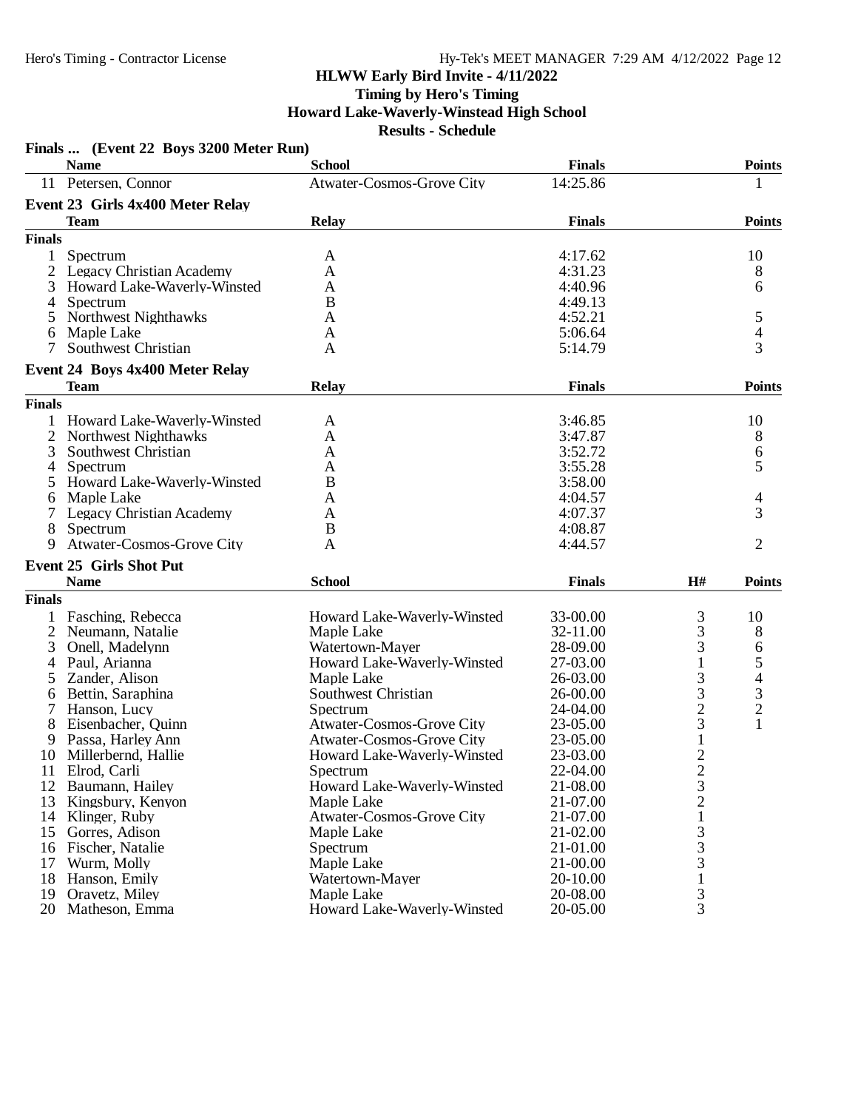| <b>Name</b><br><b>School</b><br><b>Finals</b><br><b>Points</b><br>Atwater-Cosmos-Grove City<br>14:25.86<br>11 Petersen, Connor<br>1<br>Event 23 Girls 4x400 Meter Relay<br><b>Team</b><br>Relay<br><b>Finals</b><br><b>Points</b><br><b>Finals</b><br>10<br>Spectrum<br>4:17.62<br>1<br>A<br>4:31.23<br>8<br>Legacy Christian Academy<br>A<br>6<br>3<br>Howard Lake-Waverly-Winsted<br>A<br>4:40.96<br>B<br>4:49.13<br>$\overline{4}$<br>Spectrum<br>Northwest Nighthawks<br>4:52.21<br>5<br>5<br>A<br>4<br>Maple Lake<br>5:06.64<br>6<br>A<br>3<br>Southwest Christian<br>7<br>5:14.79<br>A<br><b>Event 24 Boys 4x400 Meter Relay</b><br><b>Team</b><br><b>Relay</b><br><b>Finals</b><br><b>Points</b><br><b>Finals</b><br>Howard Lake-Waverly-Winsted<br>3:46.85<br>10<br>1<br>A<br>2<br>Northwest Nighthawks<br>3:47.87<br>8<br>A<br>3:52.72<br>3<br>Southwest Christian<br>6<br>A<br>5<br>Spectrum<br>3:55.28<br>4<br>Α<br>Howard Lake-Waverly-Winsted<br>B<br>3:58.00<br>5<br>4:04.57<br>Maple Lake<br>4<br>A<br>6<br>4:07.37<br>3<br>Legacy Christian Academy<br>A<br>Spectrum<br>B<br>4:08.87<br>8<br><b>Atwater-Cosmos-Grove City</b><br>2<br>A<br>4:44.57<br>9<br><b>Event 25 Girls Shot Put</b><br><b>Name</b><br><b>School</b><br><b>Finals</b><br>H#<br><b>Points</b><br><b>Finals</b><br>3<br>Fasching, Rebecca<br>Howard Lake-Waverly-Winsted<br>33-00.00<br>10<br>3<br>2<br>32-11.00<br>8<br>Neumann, Natalie<br>Maple Lake<br>3<br>3<br>Watertown-Mayer<br>28-09.00<br>Onell, Madelynn<br>6<br>5<br>Paul, Arianna<br>$\mathbf{1}$<br>Howard Lake-Waverly-Winsted<br>27-03.00<br>4<br>3<br>4<br>Zander, Alison<br>Maple Lake<br>26-03.00<br>5<br>3<br>3<br>Southwest Christian<br>Bettin, Saraphina<br>26-00.00<br>6<br>$\overline{c}$<br>$\overline{c}$<br>Hanson, Lucy<br>Spectrum<br>24-04.00<br>3<br>$\mathbf{1}$<br>Atwater-Cosmos-Grove City<br>8<br>Eisenbacher, Quinn<br>23-05.00<br>$\mathbf{1}$<br>Passa, Harley Ann<br>Atwater-Cosmos-Grove City<br>23-05.00<br>9<br>$\overline{2}$<br>10<br>Millerbernd, Hallie<br>Howard Lake-Waverly-Winsted<br>23-03.00<br>Elrod, Carli<br>22-04.00<br>$\frac{2}{3}$<br>11<br>Spectrum<br>12<br>Howard Lake-Waverly-Winsted<br>21-08.00<br>Baumann, Hailey<br>13<br>Kingsbury, Kenyon<br>21-07.00<br>Maple Lake<br>$\,1$<br><b>Atwater-Cosmos-Grove City</b><br>21-07.00<br>14 Klinger, Ruby<br>3<br>15<br>Gorres, Adison<br>21-02.00<br>Maple Lake<br>$\frac{3}{3}$<br>21-01.00<br>16<br>Fischer, Natalie<br>Spectrum<br>Wurm, Molly<br>Maple Lake<br>21-00.00<br>17<br>$\mathbf{1}$<br>18<br>20-10.00<br>Hanson, Emily<br>Watertown-Mayer<br>3<br>Oravetz, Miley<br>Maple Lake<br>20-08.00<br>19 |    | Finals  (Event 22 Boys 3200 Meter Run) |                             |          |   |  |
|------------------------------------------------------------------------------------------------------------------------------------------------------------------------------------------------------------------------------------------------------------------------------------------------------------------------------------------------------------------------------------------------------------------------------------------------------------------------------------------------------------------------------------------------------------------------------------------------------------------------------------------------------------------------------------------------------------------------------------------------------------------------------------------------------------------------------------------------------------------------------------------------------------------------------------------------------------------------------------------------------------------------------------------------------------------------------------------------------------------------------------------------------------------------------------------------------------------------------------------------------------------------------------------------------------------------------------------------------------------------------------------------------------------------------------------------------------------------------------------------------------------------------------------------------------------------------------------------------------------------------------------------------------------------------------------------------------------------------------------------------------------------------------------------------------------------------------------------------------------------------------------------------------------------------------------------------------------------------------------------------------------------------------------------------------------------------------------------------------------------------------------------------------------------------------------------------------------------------------------------------------------------------------------------------------------------------------------------------------------------------------------------------------------------------------------------------------------------------------------------------------------------------------------------------------------------------------------------------------------------------------------------------------------|----|----------------------------------------|-----------------------------|----------|---|--|
|                                                                                                                                                                                                                                                                                                                                                                                                                                                                                                                                                                                                                                                                                                                                                                                                                                                                                                                                                                                                                                                                                                                                                                                                                                                                                                                                                                                                                                                                                                                                                                                                                                                                                                                                                                                                                                                                                                                                                                                                                                                                                                                                                                                                                                                                                                                                                                                                                                                                                                                                                                                                                                                                  |    |                                        |                             |          |   |  |
|                                                                                                                                                                                                                                                                                                                                                                                                                                                                                                                                                                                                                                                                                                                                                                                                                                                                                                                                                                                                                                                                                                                                                                                                                                                                                                                                                                                                                                                                                                                                                                                                                                                                                                                                                                                                                                                                                                                                                                                                                                                                                                                                                                                                                                                                                                                                                                                                                                                                                                                                                                                                                                                                  |    |                                        |                             |          |   |  |
|                                                                                                                                                                                                                                                                                                                                                                                                                                                                                                                                                                                                                                                                                                                                                                                                                                                                                                                                                                                                                                                                                                                                                                                                                                                                                                                                                                                                                                                                                                                                                                                                                                                                                                                                                                                                                                                                                                                                                                                                                                                                                                                                                                                                                                                                                                                                                                                                                                                                                                                                                                                                                                                                  |    |                                        |                             |          |   |  |
|                                                                                                                                                                                                                                                                                                                                                                                                                                                                                                                                                                                                                                                                                                                                                                                                                                                                                                                                                                                                                                                                                                                                                                                                                                                                                                                                                                                                                                                                                                                                                                                                                                                                                                                                                                                                                                                                                                                                                                                                                                                                                                                                                                                                                                                                                                                                                                                                                                                                                                                                                                                                                                                                  |    |                                        |                             |          |   |  |
|                                                                                                                                                                                                                                                                                                                                                                                                                                                                                                                                                                                                                                                                                                                                                                                                                                                                                                                                                                                                                                                                                                                                                                                                                                                                                                                                                                                                                                                                                                                                                                                                                                                                                                                                                                                                                                                                                                                                                                                                                                                                                                                                                                                                                                                                                                                                                                                                                                                                                                                                                                                                                                                                  |    |                                        |                             |          |   |  |
|                                                                                                                                                                                                                                                                                                                                                                                                                                                                                                                                                                                                                                                                                                                                                                                                                                                                                                                                                                                                                                                                                                                                                                                                                                                                                                                                                                                                                                                                                                                                                                                                                                                                                                                                                                                                                                                                                                                                                                                                                                                                                                                                                                                                                                                                                                                                                                                                                                                                                                                                                                                                                                                                  |    |                                        |                             |          |   |  |
|                                                                                                                                                                                                                                                                                                                                                                                                                                                                                                                                                                                                                                                                                                                                                                                                                                                                                                                                                                                                                                                                                                                                                                                                                                                                                                                                                                                                                                                                                                                                                                                                                                                                                                                                                                                                                                                                                                                                                                                                                                                                                                                                                                                                                                                                                                                                                                                                                                                                                                                                                                                                                                                                  |    |                                        |                             |          |   |  |
|                                                                                                                                                                                                                                                                                                                                                                                                                                                                                                                                                                                                                                                                                                                                                                                                                                                                                                                                                                                                                                                                                                                                                                                                                                                                                                                                                                                                                                                                                                                                                                                                                                                                                                                                                                                                                                                                                                                                                                                                                                                                                                                                                                                                                                                                                                                                                                                                                                                                                                                                                                                                                                                                  |    |                                        |                             |          |   |  |
|                                                                                                                                                                                                                                                                                                                                                                                                                                                                                                                                                                                                                                                                                                                                                                                                                                                                                                                                                                                                                                                                                                                                                                                                                                                                                                                                                                                                                                                                                                                                                                                                                                                                                                                                                                                                                                                                                                                                                                                                                                                                                                                                                                                                                                                                                                                                                                                                                                                                                                                                                                                                                                                                  |    |                                        |                             |          |   |  |
|                                                                                                                                                                                                                                                                                                                                                                                                                                                                                                                                                                                                                                                                                                                                                                                                                                                                                                                                                                                                                                                                                                                                                                                                                                                                                                                                                                                                                                                                                                                                                                                                                                                                                                                                                                                                                                                                                                                                                                                                                                                                                                                                                                                                                                                                                                                                                                                                                                                                                                                                                                                                                                                                  |    |                                        |                             |          |   |  |
|                                                                                                                                                                                                                                                                                                                                                                                                                                                                                                                                                                                                                                                                                                                                                                                                                                                                                                                                                                                                                                                                                                                                                                                                                                                                                                                                                                                                                                                                                                                                                                                                                                                                                                                                                                                                                                                                                                                                                                                                                                                                                                                                                                                                                                                                                                                                                                                                                                                                                                                                                                                                                                                                  |    |                                        |                             |          |   |  |
|                                                                                                                                                                                                                                                                                                                                                                                                                                                                                                                                                                                                                                                                                                                                                                                                                                                                                                                                                                                                                                                                                                                                                                                                                                                                                                                                                                                                                                                                                                                                                                                                                                                                                                                                                                                                                                                                                                                                                                                                                                                                                                                                                                                                                                                                                                                                                                                                                                                                                                                                                                                                                                                                  |    |                                        |                             |          |   |  |
|                                                                                                                                                                                                                                                                                                                                                                                                                                                                                                                                                                                                                                                                                                                                                                                                                                                                                                                                                                                                                                                                                                                                                                                                                                                                                                                                                                                                                                                                                                                                                                                                                                                                                                                                                                                                                                                                                                                                                                                                                                                                                                                                                                                                                                                                                                                                                                                                                                                                                                                                                                                                                                                                  |    |                                        |                             |          |   |  |
|                                                                                                                                                                                                                                                                                                                                                                                                                                                                                                                                                                                                                                                                                                                                                                                                                                                                                                                                                                                                                                                                                                                                                                                                                                                                                                                                                                                                                                                                                                                                                                                                                                                                                                                                                                                                                                                                                                                                                                                                                                                                                                                                                                                                                                                                                                                                                                                                                                                                                                                                                                                                                                                                  |    |                                        |                             |          |   |  |
|                                                                                                                                                                                                                                                                                                                                                                                                                                                                                                                                                                                                                                                                                                                                                                                                                                                                                                                                                                                                                                                                                                                                                                                                                                                                                                                                                                                                                                                                                                                                                                                                                                                                                                                                                                                                                                                                                                                                                                                                                                                                                                                                                                                                                                                                                                                                                                                                                                                                                                                                                                                                                                                                  |    |                                        |                             |          |   |  |
|                                                                                                                                                                                                                                                                                                                                                                                                                                                                                                                                                                                                                                                                                                                                                                                                                                                                                                                                                                                                                                                                                                                                                                                                                                                                                                                                                                                                                                                                                                                                                                                                                                                                                                                                                                                                                                                                                                                                                                                                                                                                                                                                                                                                                                                                                                                                                                                                                                                                                                                                                                                                                                                                  |    |                                        |                             |          |   |  |
|                                                                                                                                                                                                                                                                                                                                                                                                                                                                                                                                                                                                                                                                                                                                                                                                                                                                                                                                                                                                                                                                                                                                                                                                                                                                                                                                                                                                                                                                                                                                                                                                                                                                                                                                                                                                                                                                                                                                                                                                                                                                                                                                                                                                                                                                                                                                                                                                                                                                                                                                                                                                                                                                  |    |                                        |                             |          |   |  |
|                                                                                                                                                                                                                                                                                                                                                                                                                                                                                                                                                                                                                                                                                                                                                                                                                                                                                                                                                                                                                                                                                                                                                                                                                                                                                                                                                                                                                                                                                                                                                                                                                                                                                                                                                                                                                                                                                                                                                                                                                                                                                                                                                                                                                                                                                                                                                                                                                                                                                                                                                                                                                                                                  |    |                                        |                             |          |   |  |
|                                                                                                                                                                                                                                                                                                                                                                                                                                                                                                                                                                                                                                                                                                                                                                                                                                                                                                                                                                                                                                                                                                                                                                                                                                                                                                                                                                                                                                                                                                                                                                                                                                                                                                                                                                                                                                                                                                                                                                                                                                                                                                                                                                                                                                                                                                                                                                                                                                                                                                                                                                                                                                                                  |    |                                        |                             |          |   |  |
|                                                                                                                                                                                                                                                                                                                                                                                                                                                                                                                                                                                                                                                                                                                                                                                                                                                                                                                                                                                                                                                                                                                                                                                                                                                                                                                                                                                                                                                                                                                                                                                                                                                                                                                                                                                                                                                                                                                                                                                                                                                                                                                                                                                                                                                                                                                                                                                                                                                                                                                                                                                                                                                                  |    |                                        |                             |          |   |  |
|                                                                                                                                                                                                                                                                                                                                                                                                                                                                                                                                                                                                                                                                                                                                                                                                                                                                                                                                                                                                                                                                                                                                                                                                                                                                                                                                                                                                                                                                                                                                                                                                                                                                                                                                                                                                                                                                                                                                                                                                                                                                                                                                                                                                                                                                                                                                                                                                                                                                                                                                                                                                                                                                  |    |                                        |                             |          |   |  |
|                                                                                                                                                                                                                                                                                                                                                                                                                                                                                                                                                                                                                                                                                                                                                                                                                                                                                                                                                                                                                                                                                                                                                                                                                                                                                                                                                                                                                                                                                                                                                                                                                                                                                                                                                                                                                                                                                                                                                                                                                                                                                                                                                                                                                                                                                                                                                                                                                                                                                                                                                                                                                                                                  |    |                                        |                             |          |   |  |
|                                                                                                                                                                                                                                                                                                                                                                                                                                                                                                                                                                                                                                                                                                                                                                                                                                                                                                                                                                                                                                                                                                                                                                                                                                                                                                                                                                                                                                                                                                                                                                                                                                                                                                                                                                                                                                                                                                                                                                                                                                                                                                                                                                                                                                                                                                                                                                                                                                                                                                                                                                                                                                                                  |    |                                        |                             |          |   |  |
|                                                                                                                                                                                                                                                                                                                                                                                                                                                                                                                                                                                                                                                                                                                                                                                                                                                                                                                                                                                                                                                                                                                                                                                                                                                                                                                                                                                                                                                                                                                                                                                                                                                                                                                                                                                                                                                                                                                                                                                                                                                                                                                                                                                                                                                                                                                                                                                                                                                                                                                                                                                                                                                                  |    |                                        |                             |          |   |  |
|                                                                                                                                                                                                                                                                                                                                                                                                                                                                                                                                                                                                                                                                                                                                                                                                                                                                                                                                                                                                                                                                                                                                                                                                                                                                                                                                                                                                                                                                                                                                                                                                                                                                                                                                                                                                                                                                                                                                                                                                                                                                                                                                                                                                                                                                                                                                                                                                                                                                                                                                                                                                                                                                  |    |                                        |                             |          |   |  |
|                                                                                                                                                                                                                                                                                                                                                                                                                                                                                                                                                                                                                                                                                                                                                                                                                                                                                                                                                                                                                                                                                                                                                                                                                                                                                                                                                                                                                                                                                                                                                                                                                                                                                                                                                                                                                                                                                                                                                                                                                                                                                                                                                                                                                                                                                                                                                                                                                                                                                                                                                                                                                                                                  |    |                                        |                             |          |   |  |
|                                                                                                                                                                                                                                                                                                                                                                                                                                                                                                                                                                                                                                                                                                                                                                                                                                                                                                                                                                                                                                                                                                                                                                                                                                                                                                                                                                                                                                                                                                                                                                                                                                                                                                                                                                                                                                                                                                                                                                                                                                                                                                                                                                                                                                                                                                                                                                                                                                                                                                                                                                                                                                                                  |    |                                        |                             |          |   |  |
|                                                                                                                                                                                                                                                                                                                                                                                                                                                                                                                                                                                                                                                                                                                                                                                                                                                                                                                                                                                                                                                                                                                                                                                                                                                                                                                                                                                                                                                                                                                                                                                                                                                                                                                                                                                                                                                                                                                                                                                                                                                                                                                                                                                                                                                                                                                                                                                                                                                                                                                                                                                                                                                                  |    |                                        |                             |          |   |  |
|                                                                                                                                                                                                                                                                                                                                                                                                                                                                                                                                                                                                                                                                                                                                                                                                                                                                                                                                                                                                                                                                                                                                                                                                                                                                                                                                                                                                                                                                                                                                                                                                                                                                                                                                                                                                                                                                                                                                                                                                                                                                                                                                                                                                                                                                                                                                                                                                                                                                                                                                                                                                                                                                  |    |                                        |                             |          |   |  |
|                                                                                                                                                                                                                                                                                                                                                                                                                                                                                                                                                                                                                                                                                                                                                                                                                                                                                                                                                                                                                                                                                                                                                                                                                                                                                                                                                                                                                                                                                                                                                                                                                                                                                                                                                                                                                                                                                                                                                                                                                                                                                                                                                                                                                                                                                                                                                                                                                                                                                                                                                                                                                                                                  |    |                                        |                             |          |   |  |
|                                                                                                                                                                                                                                                                                                                                                                                                                                                                                                                                                                                                                                                                                                                                                                                                                                                                                                                                                                                                                                                                                                                                                                                                                                                                                                                                                                                                                                                                                                                                                                                                                                                                                                                                                                                                                                                                                                                                                                                                                                                                                                                                                                                                                                                                                                                                                                                                                                                                                                                                                                                                                                                                  |    |                                        |                             |          |   |  |
|                                                                                                                                                                                                                                                                                                                                                                                                                                                                                                                                                                                                                                                                                                                                                                                                                                                                                                                                                                                                                                                                                                                                                                                                                                                                                                                                                                                                                                                                                                                                                                                                                                                                                                                                                                                                                                                                                                                                                                                                                                                                                                                                                                                                                                                                                                                                                                                                                                                                                                                                                                                                                                                                  |    |                                        |                             |          |   |  |
|                                                                                                                                                                                                                                                                                                                                                                                                                                                                                                                                                                                                                                                                                                                                                                                                                                                                                                                                                                                                                                                                                                                                                                                                                                                                                                                                                                                                                                                                                                                                                                                                                                                                                                                                                                                                                                                                                                                                                                                                                                                                                                                                                                                                                                                                                                                                                                                                                                                                                                                                                                                                                                                                  |    |                                        |                             |          |   |  |
|                                                                                                                                                                                                                                                                                                                                                                                                                                                                                                                                                                                                                                                                                                                                                                                                                                                                                                                                                                                                                                                                                                                                                                                                                                                                                                                                                                                                                                                                                                                                                                                                                                                                                                                                                                                                                                                                                                                                                                                                                                                                                                                                                                                                                                                                                                                                                                                                                                                                                                                                                                                                                                                                  |    |                                        |                             |          |   |  |
|                                                                                                                                                                                                                                                                                                                                                                                                                                                                                                                                                                                                                                                                                                                                                                                                                                                                                                                                                                                                                                                                                                                                                                                                                                                                                                                                                                                                                                                                                                                                                                                                                                                                                                                                                                                                                                                                                                                                                                                                                                                                                                                                                                                                                                                                                                                                                                                                                                                                                                                                                                                                                                                                  |    |                                        |                             |          |   |  |
|                                                                                                                                                                                                                                                                                                                                                                                                                                                                                                                                                                                                                                                                                                                                                                                                                                                                                                                                                                                                                                                                                                                                                                                                                                                                                                                                                                                                                                                                                                                                                                                                                                                                                                                                                                                                                                                                                                                                                                                                                                                                                                                                                                                                                                                                                                                                                                                                                                                                                                                                                                                                                                                                  |    |                                        |                             |          |   |  |
|                                                                                                                                                                                                                                                                                                                                                                                                                                                                                                                                                                                                                                                                                                                                                                                                                                                                                                                                                                                                                                                                                                                                                                                                                                                                                                                                                                                                                                                                                                                                                                                                                                                                                                                                                                                                                                                                                                                                                                                                                                                                                                                                                                                                                                                                                                                                                                                                                                                                                                                                                                                                                                                                  |    |                                        |                             |          |   |  |
|                                                                                                                                                                                                                                                                                                                                                                                                                                                                                                                                                                                                                                                                                                                                                                                                                                                                                                                                                                                                                                                                                                                                                                                                                                                                                                                                                                                                                                                                                                                                                                                                                                                                                                                                                                                                                                                                                                                                                                                                                                                                                                                                                                                                                                                                                                                                                                                                                                                                                                                                                                                                                                                                  |    |                                        |                             |          |   |  |
|                                                                                                                                                                                                                                                                                                                                                                                                                                                                                                                                                                                                                                                                                                                                                                                                                                                                                                                                                                                                                                                                                                                                                                                                                                                                                                                                                                                                                                                                                                                                                                                                                                                                                                                                                                                                                                                                                                                                                                                                                                                                                                                                                                                                                                                                                                                                                                                                                                                                                                                                                                                                                                                                  |    |                                        |                             |          |   |  |
|                                                                                                                                                                                                                                                                                                                                                                                                                                                                                                                                                                                                                                                                                                                                                                                                                                                                                                                                                                                                                                                                                                                                                                                                                                                                                                                                                                                                                                                                                                                                                                                                                                                                                                                                                                                                                                                                                                                                                                                                                                                                                                                                                                                                                                                                                                                                                                                                                                                                                                                                                                                                                                                                  |    |                                        |                             |          |   |  |
|                                                                                                                                                                                                                                                                                                                                                                                                                                                                                                                                                                                                                                                                                                                                                                                                                                                                                                                                                                                                                                                                                                                                                                                                                                                                                                                                                                                                                                                                                                                                                                                                                                                                                                                                                                                                                                                                                                                                                                                                                                                                                                                                                                                                                                                                                                                                                                                                                                                                                                                                                                                                                                                                  |    |                                        |                             |          |   |  |
|                                                                                                                                                                                                                                                                                                                                                                                                                                                                                                                                                                                                                                                                                                                                                                                                                                                                                                                                                                                                                                                                                                                                                                                                                                                                                                                                                                                                                                                                                                                                                                                                                                                                                                                                                                                                                                                                                                                                                                                                                                                                                                                                                                                                                                                                                                                                                                                                                                                                                                                                                                                                                                                                  |    |                                        |                             |          |   |  |
|                                                                                                                                                                                                                                                                                                                                                                                                                                                                                                                                                                                                                                                                                                                                                                                                                                                                                                                                                                                                                                                                                                                                                                                                                                                                                                                                                                                                                                                                                                                                                                                                                                                                                                                                                                                                                                                                                                                                                                                                                                                                                                                                                                                                                                                                                                                                                                                                                                                                                                                                                                                                                                                                  |    |                                        |                             |          |   |  |
|                                                                                                                                                                                                                                                                                                                                                                                                                                                                                                                                                                                                                                                                                                                                                                                                                                                                                                                                                                                                                                                                                                                                                                                                                                                                                                                                                                                                                                                                                                                                                                                                                                                                                                                                                                                                                                                                                                                                                                                                                                                                                                                                                                                                                                                                                                                                                                                                                                                                                                                                                                                                                                                                  |    |                                        |                             |          |   |  |
|                                                                                                                                                                                                                                                                                                                                                                                                                                                                                                                                                                                                                                                                                                                                                                                                                                                                                                                                                                                                                                                                                                                                                                                                                                                                                                                                                                                                                                                                                                                                                                                                                                                                                                                                                                                                                                                                                                                                                                                                                                                                                                                                                                                                                                                                                                                                                                                                                                                                                                                                                                                                                                                                  |    |                                        |                             |          |   |  |
|                                                                                                                                                                                                                                                                                                                                                                                                                                                                                                                                                                                                                                                                                                                                                                                                                                                                                                                                                                                                                                                                                                                                                                                                                                                                                                                                                                                                                                                                                                                                                                                                                                                                                                                                                                                                                                                                                                                                                                                                                                                                                                                                                                                                                                                                                                                                                                                                                                                                                                                                                                                                                                                                  |    |                                        |                             |          |   |  |
|                                                                                                                                                                                                                                                                                                                                                                                                                                                                                                                                                                                                                                                                                                                                                                                                                                                                                                                                                                                                                                                                                                                                                                                                                                                                                                                                                                                                                                                                                                                                                                                                                                                                                                                                                                                                                                                                                                                                                                                                                                                                                                                                                                                                                                                                                                                                                                                                                                                                                                                                                                                                                                                                  |    |                                        |                             |          |   |  |
|                                                                                                                                                                                                                                                                                                                                                                                                                                                                                                                                                                                                                                                                                                                                                                                                                                                                                                                                                                                                                                                                                                                                                                                                                                                                                                                                                                                                                                                                                                                                                                                                                                                                                                                                                                                                                                                                                                                                                                                                                                                                                                                                                                                                                                                                                                                                                                                                                                                                                                                                                                                                                                                                  | 20 | Matheson, Emma                         | Howard Lake-Waverly-Winsted | 20-05.00 | 3 |  |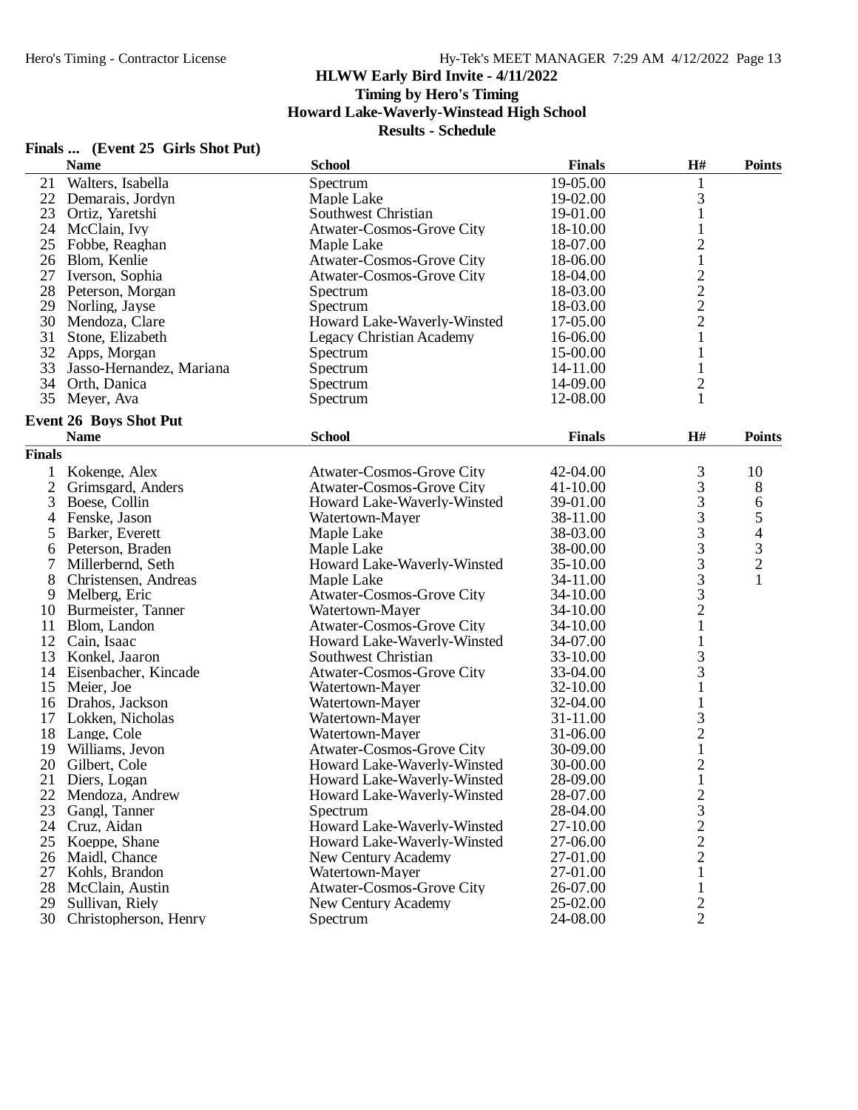**Timing by Hero's Timing**

**Howard Lake-Waverly-Winstead High School**

|  | Finals  (Event 25 Girls Shot Put) |
|--|-----------------------------------|
|  |                                   |

|               | <b>Name</b>                   | <b>School</b>                    | <b>Finals</b> | H#                                             | <b>Points</b>                  |
|---------------|-------------------------------|----------------------------------|---------------|------------------------------------------------|--------------------------------|
| 21            | Walters, Isabella             | Spectrum                         | 19-05.00      | 1                                              |                                |
| 22            | Demarais, Jordyn              | Maple Lake                       | 19-02.00      | 3                                              |                                |
| 23            | Ortiz, Yaretshi               | Southwest Christian              | 19-01.00      | $\mathbf{1}$                                   |                                |
| 24            | McClain, Ivy                  | Atwater-Cosmos-Grove City        | 18-10.00      | $\mathbf{1}$                                   |                                |
| 25            | Fobbe, Reaghan                | Maple Lake                       | 18-07.00      | $\overline{c}$                                 |                                |
| 26            | Blom, Kenlie                  | Atwater-Cosmos-Grove City        | 18-06.00      | $\mathbf{1}$                                   |                                |
| 27            | Iverson, Sophia               | Atwater-Cosmos-Grove City        | 18-04.00      |                                                |                                |
| 28            | Peterson, Morgan              | Spectrum                         | 18-03.00      | $\begin{array}{c} 2 \\ 2 \\ 2 \end{array}$     |                                |
| 29            | Norling, Jayse                | Spectrum                         | 18-03.00      |                                                |                                |
| 30            | Mendoza, Clare                | Howard Lake-Waverly-Winsted      | 17-05.00      |                                                |                                |
| 31            | Stone, Elizabeth              | <b>Legacy Christian Academy</b>  | 16-06.00      | $\mathbf{1}$                                   |                                |
| 32            | Apps, Morgan                  | Spectrum                         | 15-00.00      | $\mathbf{1}$                                   |                                |
| 33            | Jasso-Hernandez, Mariana      | Spectrum                         | 14-11.00      | $\mathbf{1}$                                   |                                |
|               | 34 Orth, Danica               | Spectrum                         | 14-09.00      | $\overline{\mathbf{c}}$                        |                                |
|               | 35 Meyer, Ava                 | Spectrum                         | 12-08.00      | $\mathbf{1}$                                   |                                |
|               |                               |                                  |               |                                                |                                |
|               | <b>Event 26 Boys Shot Put</b> |                                  |               |                                                |                                |
|               | <b>Name</b>                   | <b>School</b>                    | <b>Finals</b> | H#                                             | <b>Points</b>                  |
| <b>Finals</b> |                               |                                  |               |                                                |                                |
| 1             | Kokenge, Alex                 | Atwater-Cosmos-Grove City        | 42-04.00      | 3                                              | 10                             |
| 2             | Grimsgard, Anders             | <b>Atwater-Cosmos-Grove City</b> | 41-10.00      | 3                                              | 8                              |
| 3             | Boese, Collin                 | Howard Lake-Waverly-Winsted      | 39-01.00      |                                                | 6                              |
| 4             | Fenske, Jason                 | Watertown-Mayer                  | 38-11.00      |                                                |                                |
| 5             | Barker, Everett               | Maple Lake                       | 38-03.00      | 33333321                                       | $\frac{5}{4}$<br>$\frac{3}{2}$ |
| 6             | Peterson, Braden              | Maple Lake                       | 38-00.00      |                                                |                                |
| 7             | Millerbernd, Seth             | Howard Lake-Waverly-Winsted      | 35-10.00      |                                                |                                |
| 8             | Christensen, Andreas          | Maple Lake                       | 34-11.00      |                                                | $\mathbf{1}$                   |
| 9             | Melberg, Eric                 | <b>Atwater-Cosmos-Grove City</b> | 34-10.00      |                                                |                                |
| 10            | Burmeister, Tanner            | Watertown-Mayer                  | 34-10.00      |                                                |                                |
| 11            | Blom, Landon                  | Atwater-Cosmos-Grove City        | 34-10.00      |                                                |                                |
| 12            | Cain, Isaac                   | Howard Lake-Waverly-Winsted      | 34-07.00      | $\mathbf{1}$                                   |                                |
| 13            | Konkel, Jaaron                | Southwest Christian              | 33-10.00      | 3                                              |                                |
| 14            | Eisenbacher, Kincade          | Atwater-Cosmos-Grove City        | 33-04.00      | 3                                              |                                |
| 15            | Meier, Joe                    | Watertown-Mayer                  | 32-10.00      | $\mathbf{1}$                                   |                                |
| 16            | Drahos, Jackson               | Watertown-Mayer                  | 32-04.00      | $\mathbf{1}$                                   |                                |
| 17            | Lokken, Nicholas              | Watertown-Mayer                  | 31-11.00      |                                                |                                |
| 18            | Lange, Cole                   | Watertown-Mayer                  | 31-06.00      | $\begin{array}{c} 3 \\ 2 \\ 1 \end{array}$     |                                |
| 19            | Williams, Jevon               | Atwater-Cosmos-Grove City        | 30-09.00      |                                                |                                |
| 20            |                               |                                  |               |                                                |                                |
|               | Gilbert, Cole                 | Howard Lake-Waverly-Winsted      | 30-00.00      | $\overline{c}$                                 |                                |
| 21            | Diers, Logan                  | Howard Lake-Waverly-Winsted      | 28-09.00      | $\mathbf{1}$                                   |                                |
| 22            | Mendoza, Andrew               | Howard Lake-Waverly-Winsted      | 28-07.00      |                                                |                                |
| 23            | Gangl, Tanner                 | Spectrum                         | 28-04.00      | $\begin{array}{c}\n23 \\ 22 \\ 2\n\end{array}$ |                                |
| 24            | Cruz, Aidan                   | Howard Lake-Waverly-Winsted      | 27-10.00      |                                                |                                |
| 25            | Koeppe, Shane                 | Howard Lake-Waverly-Winsted      | 27-06.00      |                                                |                                |
| 26            | Maidl, Chance                 | New Century Academy              | 27-01.00      |                                                |                                |
| 27            | Kohls, Brandon                | Watertown-Mayer                  | 27-01.00      | $\mathbf{1}$                                   |                                |
| 28            | McClain, Austin               | <b>Atwater-Cosmos-Grove City</b> | 26-07.00      | $\mathbf{1}$                                   |                                |
| 29            | Sullivan, Riely               | New Century Academy              | 25-02.00      | $\frac{2}{2}$                                  |                                |
| 30            | Christopherson, Henry         | Spectrum                         | 24-08.00      |                                                |                                |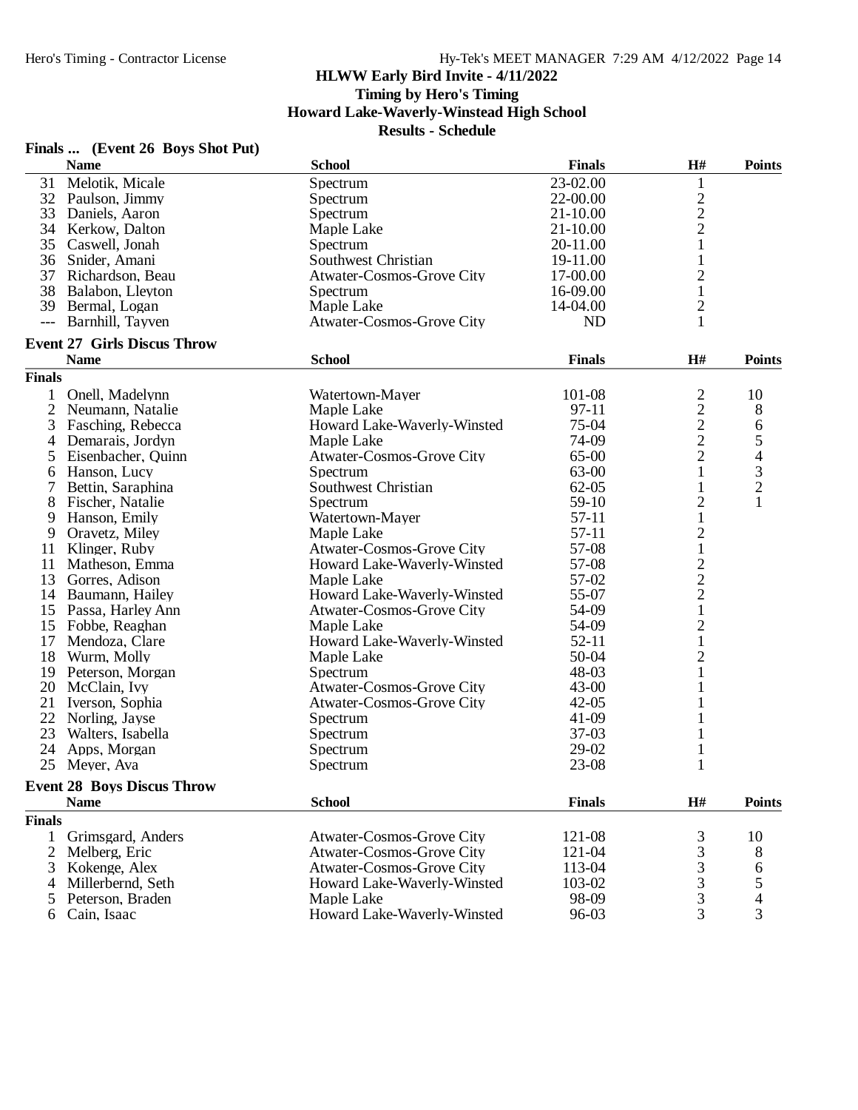**Timing by Hero's Timing**

**Howard Lake-Waverly-Winstead High School**

| Finals |  | (Event 26 Boys Shot Put) |
|--------|--|--------------------------|
|--------|--|--------------------------|

|                     | $F$ mais $\ldots$ (EVCIR 20 Doys Shot I at)<br><b>Name</b> | <b>School</b>                    | <b>Finals</b> | H#                                         | <b>Points</b>  |
|---------------------|------------------------------------------------------------|----------------------------------|---------------|--------------------------------------------|----------------|
| 31                  | Melotik, Micale                                            | Spectrum                         | 23-02.00      | $\mathbf 1$                                |                |
|                     | 32 Paulson, Jimmy                                          | Spectrum                         | 22-00.00      |                                            |                |
| 33                  | Daniels, Aaron                                             | Spectrum                         | $21 - 10.00$  | $\frac{2}{2}$                              |                |
| 34                  | Kerkow, Dalton                                             | Maple Lake                       | $21 - 10.00$  |                                            |                |
| 35                  | Caswell, Jonah                                             | Spectrum                         | 20-11.00      | $\mathbf{1}$                               |                |
|                     | 36 Snider, Amani                                           | Southwest Christian              | 19-11.00      | $\mathbf{1}$                               |                |
|                     | 37 Richardson, Beau                                        | Atwater-Cosmos-Grove City        | 17-00.00      | $\overline{c}$                             |                |
| 38                  | Balabon, Lleyton                                           | Spectrum                         | 16-09.00      | $\mathbf{1}$                               |                |
|                     | 39 Bermal, Logan                                           |                                  | 14-04.00      |                                            |                |
|                     |                                                            | Maple Lake                       |               | $\overline{\mathbf{c}}$<br>$\mathbf{1}$    |                |
| $\qquad \qquad - -$ | Barnhill, Tayven                                           | <b>Atwater-Cosmos-Grove City</b> | <b>ND</b>     |                                            |                |
|                     | <b>Event 27 Girls Discus Throw</b><br><b>Name</b>          | <b>School</b>                    | <b>Finals</b> | H#                                         | <b>Points</b>  |
| <b>Finals</b>       |                                                            |                                  |               |                                            |                |
| 1                   | Onell, Madelynn                                            | Watertown-Mayer                  | 101-08        | $\overline{c}$                             | 10             |
| $\overline{2}$      | Neumann, Natalie                                           | Maple Lake                       | $97-11$       |                                            | 8              |
| 3                   | Fasching, Rebecca                                          | Howard Lake-Waverly-Winsted      | 75-04         | $\frac{2}{2}$                              | 6              |
|                     |                                                            | Maple Lake                       | 74-09         |                                            | 5              |
| 4                   | Demarais, Jordyn                                           |                                  |               | $\overline{2}$                             | $\overline{4}$ |
| 5                   | Eisenbacher, Quinn                                         | Atwater-Cosmos-Grove City        | 65-00         |                                            |                |
| 6                   | Hanson, Lucy                                               | Spectrum                         | 63-00         | $\mathbf{1}$                               | $\mathfrak 3$  |
| 7                   | Bettin, Saraphina                                          | Southwest Christian              | $62 - 05$     | $\mathbf{1}$                               | $\overline{2}$ |
| 8                   | Fischer, Natalie                                           | Spectrum                         | 59-10         | $\overline{\mathbf{c}}$                    | $\mathbf{1}$   |
| 9                   | Hanson, Emily                                              | Watertown-Mayer                  | $57 - 11$     | $\mathbf{1}$                               |                |
| 9                   | Oravetz, Miley                                             | Maple Lake                       | $57 - 11$     | $\overline{c}$                             |                |
| 11                  | Klinger, Ruby                                              | <b>Atwater-Cosmos-Grove City</b> | 57-08         | $\mathbf{1}$                               |                |
| 11                  | Matheson, Emma                                             | Howard Lake-Waverly-Winsted      | 57-08         |                                            |                |
| 13                  | Gorres, Adison                                             | Maple Lake                       | 57-02         | $\frac{2}{2}$                              |                |
| 14                  | Baumann, Hailey                                            | Howard Lake-Waverly-Winsted      | 55-07         | $\overline{c}$                             |                |
| 15                  | Passa, Harley Ann                                          | Atwater-Cosmos-Grove City        | 54-09         | $\mathbf{1}$                               |                |
| 15                  | Fobbe, Reaghan                                             | Maple Lake                       | 54-09         | $\overline{c}$                             |                |
| 17                  | Mendoza, Clare                                             | Howard Lake-Waverly-Winsted      | $52 - 11$     | $\mathbf{1}$                               |                |
| 18                  | Wurm, Molly                                                | Maple Lake                       | 50-04         | $\overline{c}$                             |                |
| 19                  | Peterson, Morgan                                           | Spectrum                         | 48-03         | $\mathbf{1}$                               |                |
| 20                  | McClain, Ivy                                               | <b>Atwater-Cosmos-Grove City</b> | $43 - 00$     | $\mathbf{1}$                               |                |
| 21                  | Iverson, Sophia                                            | Atwater-Cosmos-Grove City        | $42 - 05$     | 1                                          |                |
| 22                  | Norling, Jayse                                             | Spectrum                         | $41-09$       | 1                                          |                |
| 23                  | Walters, Isabella                                          | Spectrum                         | $37-03$       | 1                                          |                |
| 24                  | Apps, Morgan                                               | Spectrum                         | 29-02         | $\mathbf{1}$                               |                |
| 25                  | Meyer, Ava                                                 | Spectrum                         | 23-08         | 1                                          |                |
|                     | <b>Event 28 Boys Discus Throw</b>                          |                                  |               |                                            |                |
|                     | <b>Name</b>                                                | <b>School</b>                    | <b>Finals</b> | H#                                         | <b>Points</b>  |
| <b>Finals</b>       |                                                            |                                  |               |                                            |                |
| 1                   | Grimsgard, Anders                                          | <b>Atwater-Cosmos-Grove City</b> | 121-08        |                                            | 10             |
| 2                   | Melberg, Eric                                              | <b>Atwater-Cosmos-Grove City</b> | 121-04        | $\frac{3}{3}$                              | 8              |
| 3                   | Kokenge, Alex                                              | <b>Atwater-Cosmos-Grove City</b> | 113-04        |                                            | 6              |
| 4                   | Millerbernd, Seth                                          | Howard Lake-Waverly-Winsted      | 103-02        |                                            | 5              |
| 5                   | Peterson, Braden                                           | Maple Lake                       | 98-09         | $\begin{array}{c} 3 \\ 3 \\ 3 \end{array}$ | 4              |
| 6                   | Cain, Isaac                                                | Howard Lake-Waverly-Winsted      | 96-03         | 3                                          | 3              |
|                     |                                                            |                                  |               |                                            |                |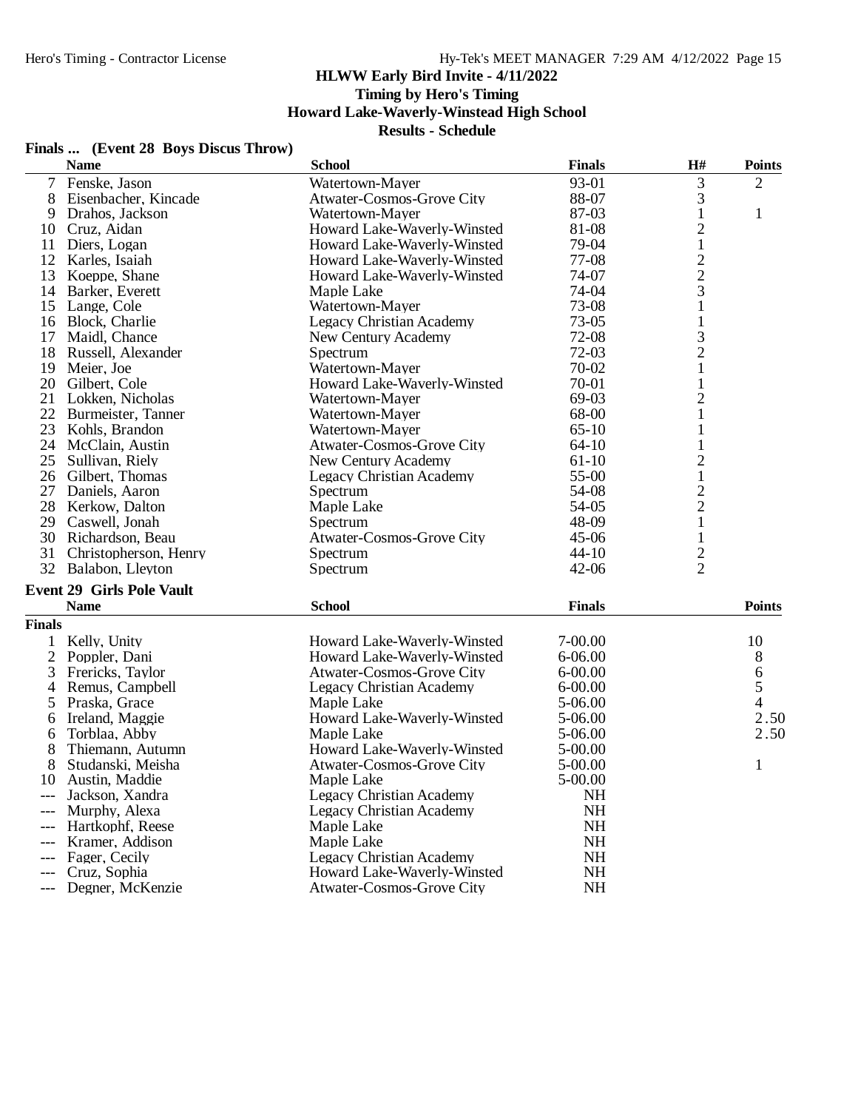# **HLWW Early Bird Invite - 4/11/2022 Timing by Hero's Timing**

**Howard Lake-Waverly-Winstead High School**

|                           | Finals  (Event 28 Boys Discus Throw) |                             |     |                |
|---------------------------|--------------------------------------|-----------------------------|-----|----------------|
| $\mathbf{N}$ $\mathbf{L}$ |                                      | $\mathbf{E}$ , $\mathbf{E}$ | ТТЩ | $\mathbf{D}$ . |

|                | <b>Name</b>                      | <b>School</b>                    | <b>Finals</b> | H#                      | <b>Points</b>                         |
|----------------|----------------------------------|----------------------------------|---------------|-------------------------|---------------------------------------|
| $\tau$         | Fenske, Jason                    | Watertown-Mayer                  | 93-01         | 3                       | $\overline{2}$                        |
| 8              | Eisenbacher, Kincade             | <b>Atwater-Cosmos-Grove City</b> | 88-07         | 3                       |                                       |
| 9              | Drahos, Jackson                  | Watertown-Mayer                  | 87-03         | $\mathbf{1}$            | $\mathbf{1}$                          |
| 10             | Cruz, Aidan                      | Howard Lake-Waverly-Winsted      | 81-08         | $\overline{c}$          |                                       |
| 11             | Diers, Logan                     | Howard Lake-Waverly-Winsted      | 79-04         | $\,1$                   |                                       |
| 12             | Karles, Isaiah                   | Howard Lake-Waverly-Winsted      | 77-08         |                         |                                       |
| 13             | Koeppe, Shane                    | Howard Lake-Waverly-Winsted      | 74-07         |                         |                                       |
| 14             | Barker, Everett                  | Maple Lake                       | 74-04         | $\frac{2}{3}$           |                                       |
| 15             | Lange, Cole                      | Watertown-Mayer                  | 73-08         | $\mathbf{1}$            |                                       |
| 16             | Block, Charlie                   | <b>Legacy Christian Academy</b>  | 73-05         | $\mathbf{1}$            |                                       |
| 17             | Maidl, Chance                    | New Century Academy              | 72-08         | 3                       |                                       |
| 18             | Russell, Alexander               | Spectrum                         | 72-03         | $\overline{c}$          |                                       |
| 19             | Meier, Joe                       | Watertown-Mayer                  | 70-02         | $\mathbf 1$             |                                       |
| 20             | Gilbert, Cole                    | Howard Lake-Waverly-Winsted      | 70-01         |                         |                                       |
| 21             | Lokken, Nicholas                 | Watertown-Mayer                  | 69-03         | $\overline{c}$          |                                       |
| 22             | Burmeister, Tanner               | Watertown-Mayer                  | 68-00         | $\mathbf{1}$            |                                       |
| 23             | Kohls, Brandon                   | Watertown-Mayer                  | $65-10$       | $\mathbf{1}$            |                                       |
| 24             | McClain, Austin                  | Atwater-Cosmos-Grove City        | $64 - 10$     | 1                       |                                       |
| 25             | Sullivan, Riely                  | New Century Academy              | $61-10$       | $\overline{c}$          |                                       |
| 26             | Gilbert, Thomas                  | <b>Legacy Christian Academy</b>  | 55-00         | 1                       |                                       |
| 27             | Daniels, Aaron                   | Spectrum                         | 54-08         | $\overline{\mathbf{c}}$ |                                       |
| 28             | Kerkow, Dalton                   | Maple Lake                       | 54-05         | $\overline{c}$          |                                       |
|                | 29 Caswell, Jonah                | Spectrum                         | 48-09         | $\mathbf{1}$            |                                       |
| 30             | Richardson, Beau                 | Atwater-Cosmos-Grove City        | 45-06         | $\mathbf{1}$            |                                       |
| 31             | Christopherson, Henry            | Spectrum                         | $44 - 10$     |                         |                                       |
|                | 32 Balabon, Lleyton              | Spectrum                         | $42 - 06$     | $\frac{2}{2}$           |                                       |
|                |                                  |                                  |               |                         |                                       |
|                | <b>Event 29 Girls Pole Vault</b> |                                  |               |                         |                                       |
|                | <b>Name</b>                      | <b>School</b>                    | <b>Finals</b> |                         | <b>Points</b>                         |
| <b>Finals</b>  |                                  |                                  |               |                         |                                       |
| 1              | Kelly, Unity                     | Howard Lake-Waverly-Winsted      | 7-00.00       |                         | 10                                    |
| $\overline{2}$ | Poppler, Dani                    | Howard Lake-Waverly-Winsted      | 6-06.00       |                         | 8                                     |
| 3              | Frericks, Taylor                 | Atwater-Cosmos-Grove City        | $6 - 00.00$   |                         | $\begin{array}{c} 6 \\ 5 \end{array}$ |
| 4              | Remus, Campbell                  | <b>Legacy Christian Academy</b>  | $6 - 00.00$   |                         |                                       |
| 5              | Praska, Grace                    | Maple Lake                       | 5-06.00       |                         | $\overline{4}$                        |
| 6              | Ireland, Maggie                  | Howard Lake-Waverly-Winsted      | 5-06.00       |                         | 2.50                                  |
| 6              | Torblaa, Abby                    | Maple Lake                       | $5-06.00$     |                         | 2.50                                  |
| 8              | Thiemann, Autumn                 | Howard Lake-Waverly-Winsted      | 5-00.00       |                         |                                       |
| 8              | Studanski, Meisha                | Atwater-Cosmos-Grove City        | 5-00.00       |                         | $\mathbf{1}$                          |
| 10             | Austin, Maddie                   | Maple Lake                       | 5-00.00       |                         |                                       |
|                | Jackson, Xandra                  | <b>Legacy Christian Academy</b>  | NH            |                         |                                       |
|                | Murphy, Alexa                    | <b>Legacy Christian Academy</b>  | <b>NH</b>     |                         |                                       |
|                | Hartkophf, Reese                 | Maple Lake                       | <b>NH</b>     |                         |                                       |
|                | Kramer, Addison                  | Maple Lake                       | <b>NH</b>     |                         |                                       |
| $---$          | Fager, Cecily                    | <b>Legacy Christian Academy</b>  | <b>NH</b>     |                         |                                       |
| $---$          | Cruz, Sophia                     | Howard Lake-Waverly-Winsted      | <b>NH</b>     |                         |                                       |
| $---$          | Degner, McKenzie                 | <b>Atwater-Cosmos-Grove City</b> | <b>NH</b>     |                         |                                       |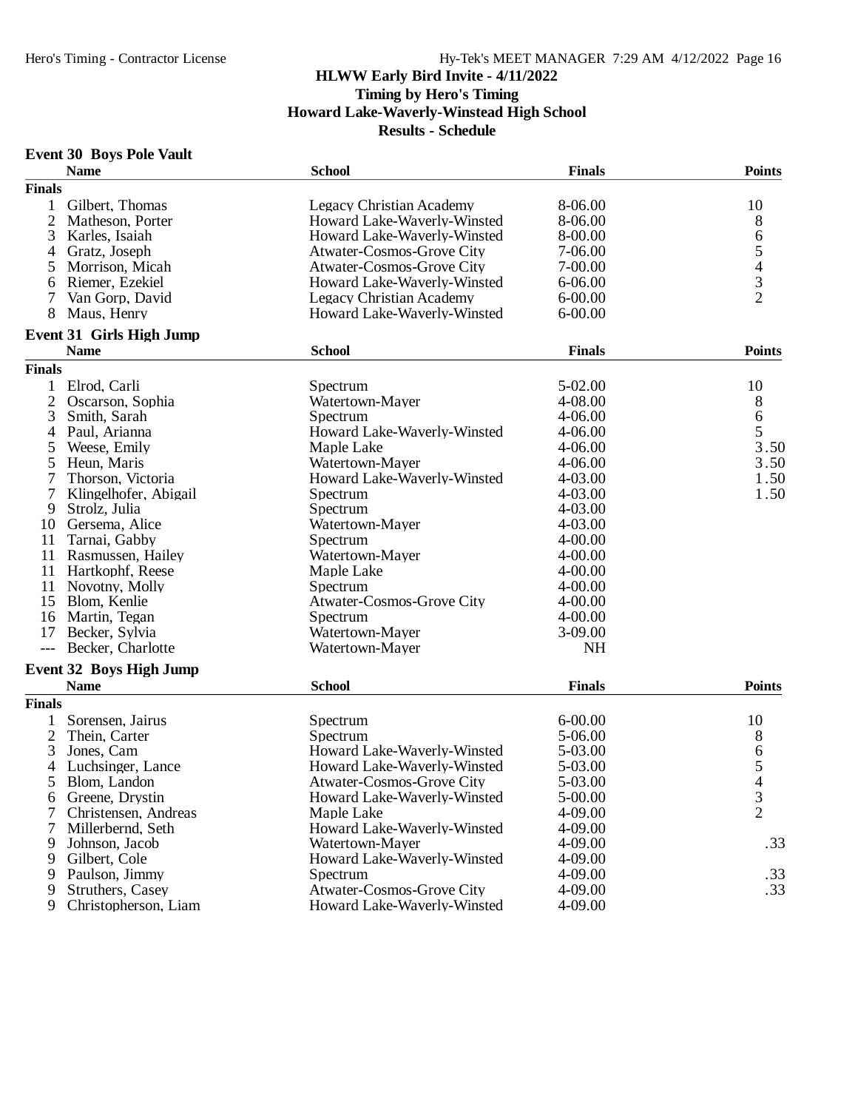#### **Event 30 Boys Pole Vault**

|               | <b>Name</b>                                   | <b>School</b>                    | <b>Finals</b> | <b>Points</b>  |
|---------------|-----------------------------------------------|----------------------------------|---------------|----------------|
| <b>Finals</b> |                                               |                                  |               |                |
| $\mathbf{1}$  | Gilbert, Thomas                               | <b>Legacy Christian Academy</b>  | 8-06.00       | 10             |
|               | 2 Matheson, Porter                            | Howard Lake-Waverly-Winsted      | 8-06.00       | 8              |
| 3             | Karles, Isaiah                                | Howard Lake-Waverly-Winsted      | 8-00.00       |                |
| 4             | Gratz, Joseph                                 | <b>Atwater-Cosmos-Grove City</b> | 7-06.00       |                |
| 5             | Morrison, Micah                               | <b>Atwater-Cosmos-Grove City</b> | 7-00.00       |                |
| 6             | Riemer, Ezekiel                               | Howard Lake-Waverly-Winsted      | $6 - 06.00$   |                |
| 7             | Van Gorp, David                               | <b>Legacy Christian Academy</b>  | $6 - 00.00$   | 65432          |
| 8             | Maus, Henry                                   | Howard Lake-Waverly-Winsted      | $6 - 00.00$   |                |
|               | <b>Event 31 Girls High Jump</b>               |                                  |               |                |
|               | <b>Name</b>                                   | <b>School</b>                    | <b>Finals</b> | <b>Points</b>  |
| <b>Finals</b> |                                               |                                  |               |                |
| 1             | Elrod, Carli                                  | Spectrum                         | 5-02.00       | 10             |
| 2             | Oscarson, Sophia                              | Watertown-Mayer                  | 4-08.00       | 8              |
| 3             | Smith, Sarah                                  | Spectrum                         | 4-06.00       | 6              |
| 4             | Paul, Arianna                                 | Howard Lake-Waverly-Winsted      | $4 - 06.00$   | 5              |
| 5             | Weese, Emily                                  | Maple Lake                       | $4 - 06.00$   | 3.50           |
| 5             | Heun, Maris                                   | Watertown-Mayer                  | $4 - 06.00$   | 3.50           |
| 7             | Thorson, Victoria                             | Howard Lake-Waverly-Winsted      | 4-03.00       | 1.50           |
| 7             | Klingelhofer, Abigail                         | Spectrum                         | 4-03.00       | 1.50           |
| 9             | Strolz, Julia                                 | Spectrum                         | 4-03.00       |                |
| 10            | Gersema, Alice                                | Watertown-Mayer                  | 4-03.00       |                |
| 11            | Tarnai, Gabby                                 | Spectrum                         | $4 - 00.00$   |                |
|               | 11 Rasmussen, Hailey                          | Watertown-Mayer                  | $4 - 00.00$   |                |
| 11            | Hartkophf, Reese                              | Maple Lake                       | $4 - 00.00$   |                |
| 11            | Novotny, Molly                                | Spectrum                         | $4 - 00.00$   |                |
|               | 15 Blom, Kenlie                               | <b>Atwater-Cosmos-Grove City</b> | $4 - 00.00$   |                |
|               | 16 Martin, Tegan                              | Spectrum                         | $4 - 00.00$   |                |
| 17            | Becker, Sylvia                                | Watertown-Mayer                  | 3-09.00       |                |
| $---$         | Becker, Charlotte                             | Watertown-Mayer                  | <b>NH</b>     |                |
|               |                                               |                                  |               |                |
|               | <b>Event 32 Boys High Jump</b><br><b>Name</b> | <b>School</b>                    | <b>Finals</b> | <b>Points</b>  |
| <b>Finals</b> |                                               |                                  |               |                |
|               |                                               |                                  |               |                |
| 1             | Sorensen, Jairus                              | Spectrum                         | $6 - 00.00$   | 10             |
| 2             | Thein, Carter                                 | Spectrum                         | 5-06.00       | 8              |
| 3             | Jones, Cam                                    | Howard Lake-Waverly-Winsted      | 5-03.00       | $\frac{6}{5}$  |
| 4             | Luchsinger, Lance                             | Howard Lake-Waverly-Winsted      | 5-03.00       |                |
| 5             | Blom, Landon                                  | Atwater-Cosmos-Grove City        | 5-03.00       | $\overline{4}$ |
| 6             | Greene, Drystin                               | Howard Lake-Waverly-Winsted      | 5-00.00       | 3              |
| 7             | Christensen, Andreas                          | Maple Lake                       | 4-09.00       | $\overline{2}$ |
| $\tau$        | Millerbernd, Seth                             | Howard Lake-Waverly-Winsted      | 4-09.00       |                |
| 9             | Johnson, Jacob                                | Watertown-Mayer                  | 4-09.00       | .33            |
| 9             | Gilbert, Cole                                 | Howard Lake-Waverly-Winsted      | 4-09.00       |                |
| 9             | Paulson, Jimmy                                | Spectrum                         | 4-09.00       | .33            |
| 9             | Struthers, Casey                              | <b>Atwater-Cosmos-Grove City</b> | 4-09.00       | .33            |
| 9             | Christopherson, Liam                          | Howard Lake-Waverly-Winsted      | 4-09.00       |                |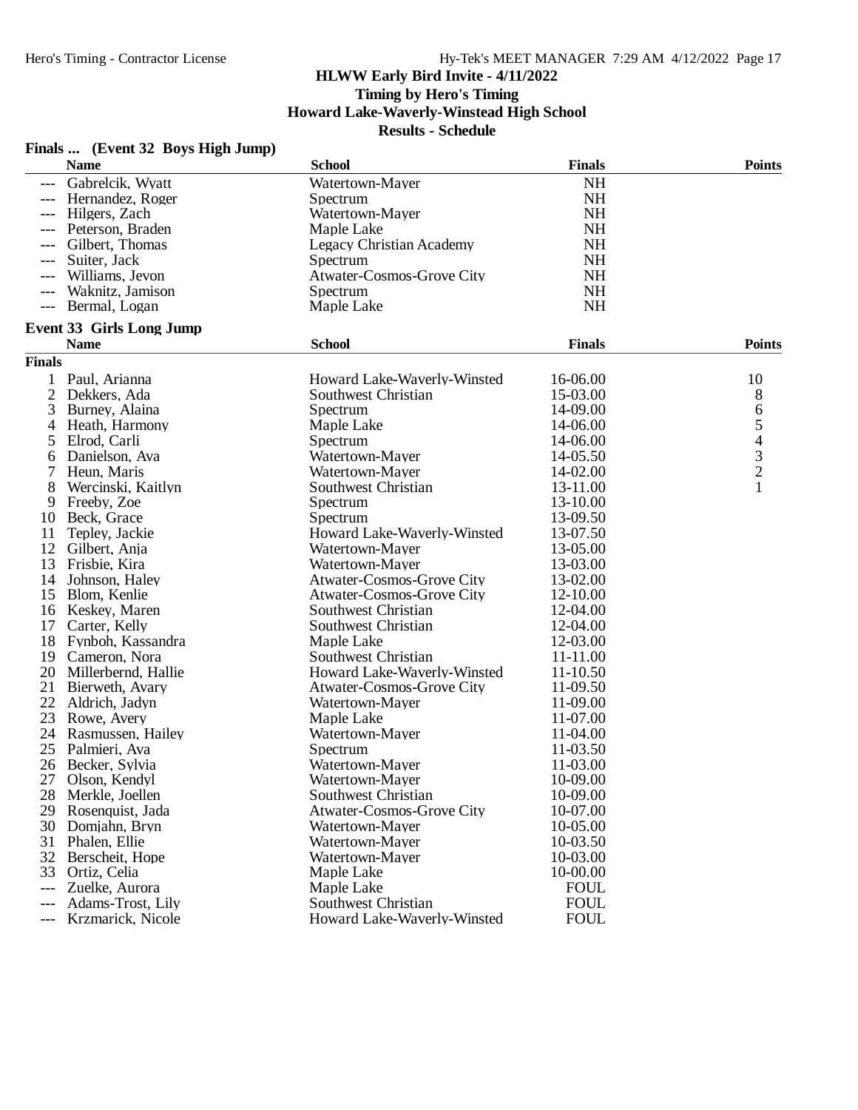**Timing by Hero's Timing**

**Howard Lake-Waverly-Winstead High School**

|                | <b>Name</b>                     | <b>School</b>                    | <b>Finals</b> | <b>Points</b> |
|----------------|---------------------------------|----------------------------------|---------------|---------------|
| ---            | Gabrelcik, Wyatt                | Watertown-Mayer                  | <b>NH</b>     |               |
|                | Hernandez, Roger                | Spectrum                         | <b>NH</b>     |               |
|                | Hilgers, Zach                   | Watertown-Mayer                  | <b>NH</b>     |               |
|                | Peterson, Braden                | Maple Lake                       | <b>NH</b>     |               |
| ---            | Gilbert, Thomas                 | Legacy Christian Academy         | <b>NH</b>     |               |
| ---            | Suiter, Jack                    | Spectrum                         | <b>NH</b>     |               |
|                | Williams, Jevon                 | Atwater-Cosmos-Grove City        | <b>NH</b>     |               |
| $---$          | Waknitz, Jamison                | Spectrum                         | NH            |               |
| $---$          | Bermal, Logan                   | Maple Lake                       | NH            |               |
|                | <b>Event 33 Girls Long Jump</b> |                                  |               |               |
|                | <b>Name</b>                     | <b>School</b>                    | <b>Finals</b> | <b>Points</b> |
| <b>Finals</b>  |                                 |                                  |               |               |
|                | Paul, Arianna                   | Howard Lake-Waverly-Winsted      | 16-06.00      | 10            |
| $\overline{2}$ | Dekkers, Ada                    | Southwest Christian              | 15-03.00      | 8             |
| 3              | Burney, Alaina                  | Spectrum                         | 14-09.00      | 6             |
| $\overline{4}$ | Heath, Harmony                  | Maple Lake                       | 14-06.00      |               |
| 5              | Elrod, Carli                    | Spectrum                         | 14-06.00      | $543$<br>$21$ |
| 6              | Danielson, Ava                  | Watertown-Mayer                  | 14-05.50      |               |
|                | Heun, Maris                     | Watertown-Mayer                  | 14-02.00      |               |
| 8              | Wercinski, Kaitlyn              | Southwest Christian              | 13-11.00      |               |
| 9              | Freeby, Zoe                     | Spectrum                         | 13-10.00      |               |
| 10             | Beck, Grace                     | Spectrum                         | 13-09.50      |               |
| 11             | Tepley, Jackie                  | Howard Lake-Waverly-Winsted      | 13-07.50      |               |
| 12             | Gilbert, Anja                   | Watertown-Mayer                  | 13-05.00      |               |
| 13             | Frisbie, Kira                   | Watertown-Mayer                  | 13-03.00      |               |
| 14             | Johnson, Haley                  | Atwater-Cosmos-Grove City        | 13-02.00      |               |
| 15             | Blom, Kenlie                    | <b>Atwater-Cosmos-Grove City</b> | 12-10.00      |               |
| 16             | Keskey, Maren                   | Southwest Christian              | 12-04.00      |               |
| 17             | Carter, Kelly                   | Southwest Christian              | 12-04.00      |               |
| 18             | Fynboh, Kassandra               | Maple Lake                       | 12-03.00      |               |
| 19             | Cameron, Nora                   | Southwest Christian              | 11-11.00      |               |
| 20             | Millerbernd, Hallie             | Howard Lake-Waverly-Winsted      | 11-10.50      |               |
| 21             | Bierweth, Avary                 | Atwater-Cosmos-Grove City        | 11-09.50      |               |
| 22             | Aldrich, Jadyn                  | Watertown-Mayer                  | 11-09.00      |               |
| 23             | Rowe, Avery                     | Maple Lake                       | 11-07.00      |               |
| 24             | Rasmussen, Hailey               | Watertown-Mayer                  | 11-04.00      |               |
| 25             | Palmieri, Ava                   | Spectrum                         | 11-03.50      |               |
| 26             | Becker, Sylvia                  | Watertown-Mayer                  | 11-03.00      |               |
| 27             | Olson, Kendyl                   | Watertown-Mayer                  | 10-09.00      |               |
| 28             | Merkle, Joellen                 | Southwest Christian              | 10-09.00      |               |
| 29             | Rosenquist, Jada                | <b>Atwater-Cosmos-Grove City</b> | 10-07.00      |               |
| 30             | Domjahn, Bryn                   | Watertown-Mayer                  | 10-05.00      |               |
| 31             | Phalen, Ellie                   | Watertown-Mayer                  | 10-03.50      |               |
| 32             | Berscheit, Hope                 | Watertown-Mayer                  | 10-03.00      |               |
| 33             | Ortiz, Celia                    | Maple Lake                       | 10-00.00      |               |
| ---            | Zuelke, Aurora                  | Maple Lake                       | <b>FOUL</b>   |               |
| ---            | Adams-Trost, Lily               | Southwest Christian              | <b>FOUL</b>   |               |
| ---            | Krzmarick, Nicole               | Howard Lake-Waverly-Winsted      | <b>FOUL</b>   |               |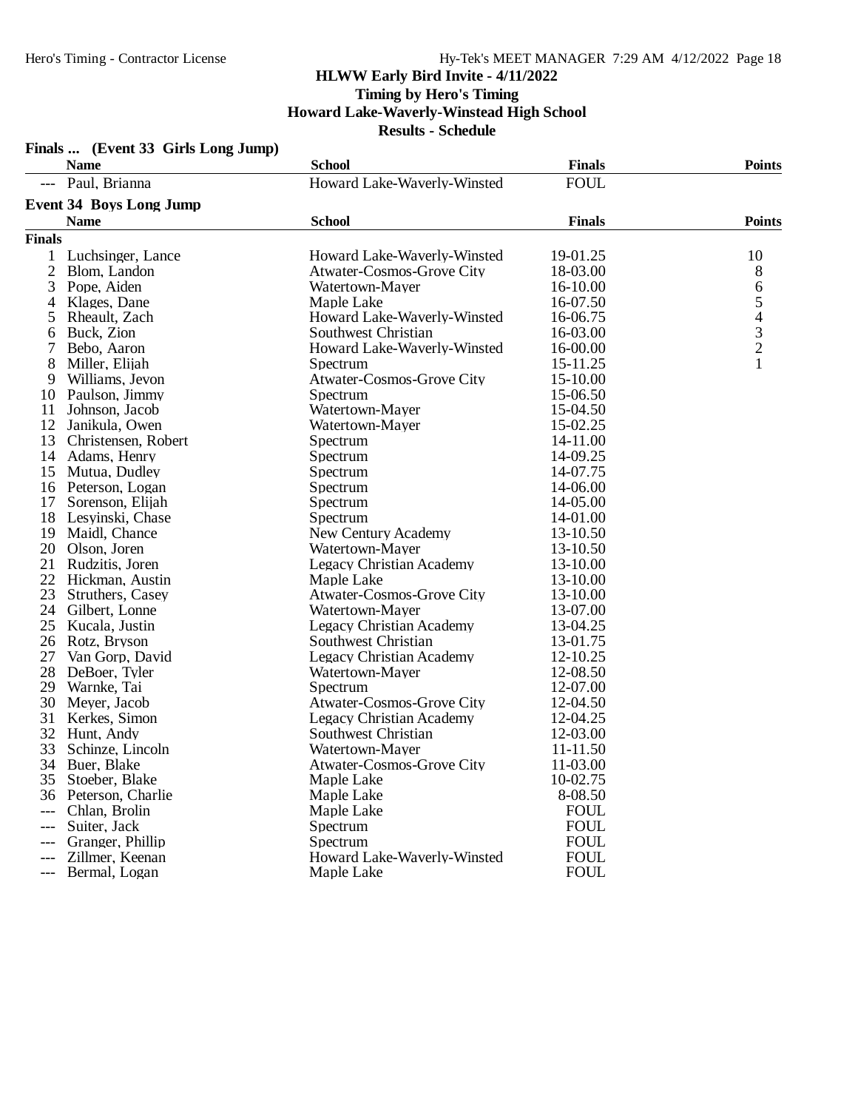|               | Finals  (Event 33 Girls Long Jump) |                                  |               |                                                 |
|---------------|------------------------------------|----------------------------------|---------------|-------------------------------------------------|
|               | <b>Name</b>                        | <b>School</b>                    | <b>Finals</b> | <b>Points</b>                                   |
|               | --- Paul, Brianna                  | Howard Lake-Waverly-Winsted      | <b>FOUL</b>   |                                                 |
|               | <b>Event 34 Boys Long Jump</b>     |                                  |               |                                                 |
|               | <b>Name</b>                        | <b>School</b>                    | <b>Finals</b> | <b>Points</b>                                   |
| <b>Finals</b> |                                    |                                  |               |                                                 |
|               |                                    |                                  |               |                                                 |
| 1             | Luchsinger, Lance                  | Howard Lake-Waverly-Winsted      | 19-01.25      | 10                                              |
| 2             | Blom, Landon                       | <b>Atwater-Cosmos-Grove City</b> | 18-03.00      | 8                                               |
| 3             | Pope, Aiden                        | Watertown-Mayer                  | 16-10.00      | 6                                               |
| 4             | Klages, Dane                       | Maple Lake                       | 16-07.50      | $\begin{array}{c} 5 \\ 4 \\ 3 \\ 2 \end{array}$ |
| 5             | Rheault, Zach                      | Howard Lake-Waverly-Winsted      | 16-06.75      |                                                 |
| 6             | Buck, Zion                         | Southwest Christian              | 16-03.00      |                                                 |
| 7             | Bebo, Aaron                        | Howard Lake-Waverly-Winsted      | 16-00.00      | $\mathbf{1}$                                    |
| 8             | Miller, Elijah                     | Spectrum                         | 15-11.25      |                                                 |
| 9             | Williams, Jevon                    | Atwater-Cosmos-Grove City        | 15-10.00      |                                                 |
| 10            | Paulson, Jimmy                     | Spectrum                         | 15-06.50      |                                                 |
| 11            | Johnson, Jacob                     | Watertown-Mayer                  | 15-04.50      |                                                 |
| 12            | Janikula, Owen                     | Watertown-Mayer                  | 15-02.25      |                                                 |
| 13            | Christensen, Robert                | Spectrum                         | 14-11.00      |                                                 |
| 14            | Adams, Henry                       | Spectrum                         | 14-09.25      |                                                 |
| 15            | Mutua, Dudley                      | Spectrum                         | 14-07.75      |                                                 |
|               | 16 Peterson, Logan                 | Spectrum                         | 14-06.00      |                                                 |
| 17            | Sorenson, Elijah                   | Spectrum                         | 14-05.00      |                                                 |
| 18            | Lesyinski, Chase                   | Spectrum                         | 14-01.00      |                                                 |
| 19            | Maidl, Chance                      | New Century Academy              | 13-10.50      |                                                 |
| 20            | Olson, Joren                       | Watertown-Mayer                  | 13-10.50      |                                                 |
| 21            | Rudzitis, Joren                    | Legacy Christian Academy         | 13-10.00      |                                                 |
| 22            | Hickman, Austin                    | Maple Lake                       | 13-10.00      |                                                 |
| 23            | Struthers, Casey                   | <b>Atwater-Cosmos-Grove City</b> | 13-10.00      |                                                 |
| 24            | Gilbert, Lonne                     | Watertown-Mayer                  | 13-07.00      |                                                 |
| 25            | Kucala, Justin                     | <b>Legacy Christian Academy</b>  | 13-04.25      |                                                 |
| 26            | Rotz, Bryson                       | Southwest Christian              | 13-01.75      |                                                 |
| 27            | Van Gorp, David                    | <b>Legacy Christian Academy</b>  | 12-10.25      |                                                 |
| 28            | DeBoer, Tyler                      | Watertown-Mayer                  | 12-08.50      |                                                 |
| 29            | Warnke, Tai                        | Spectrum                         | 12-07.00      |                                                 |
| 30            | Meyer, Jacob                       | <b>Atwater-Cosmos-Grove City</b> | 12-04.50      |                                                 |
| 31            | Kerkes, Simon                      | <b>Legacy Christian Academy</b>  | 12-04.25      |                                                 |
| 32            | Hunt, Andy                         | Southwest Christian              | 12-03.00      |                                                 |
| 33            | Schinze, Lincoln                   | Watertown-Mayer                  | 11-11.50      |                                                 |
|               | 34 Buer, Blake                     | <b>Atwater-Cosmos-Grove City</b> | 11-03.00      |                                                 |
| 35.           | Stoeber, Blake                     | Maple Lake                       | 10-02.75      |                                                 |
|               | 36 Peterson, Charlie               | Maple Lake                       | 8-08.50       |                                                 |
| ---           | Chlan, Brolin                      | Maple Lake                       | <b>FOUL</b>   |                                                 |
| $---$         | Suiter, Jack                       | Spectrum                         | <b>FOUL</b>   |                                                 |
| ---           | Granger, Phillip                   | Spectrum                         | <b>FOUL</b>   |                                                 |
| ---           | Zillmer, Keenan                    | Howard Lake-Waverly-Winsted      | <b>FOUL</b>   |                                                 |
| ---           | Bermal, Logan                      | Maple Lake                       | <b>FOUL</b>   |                                                 |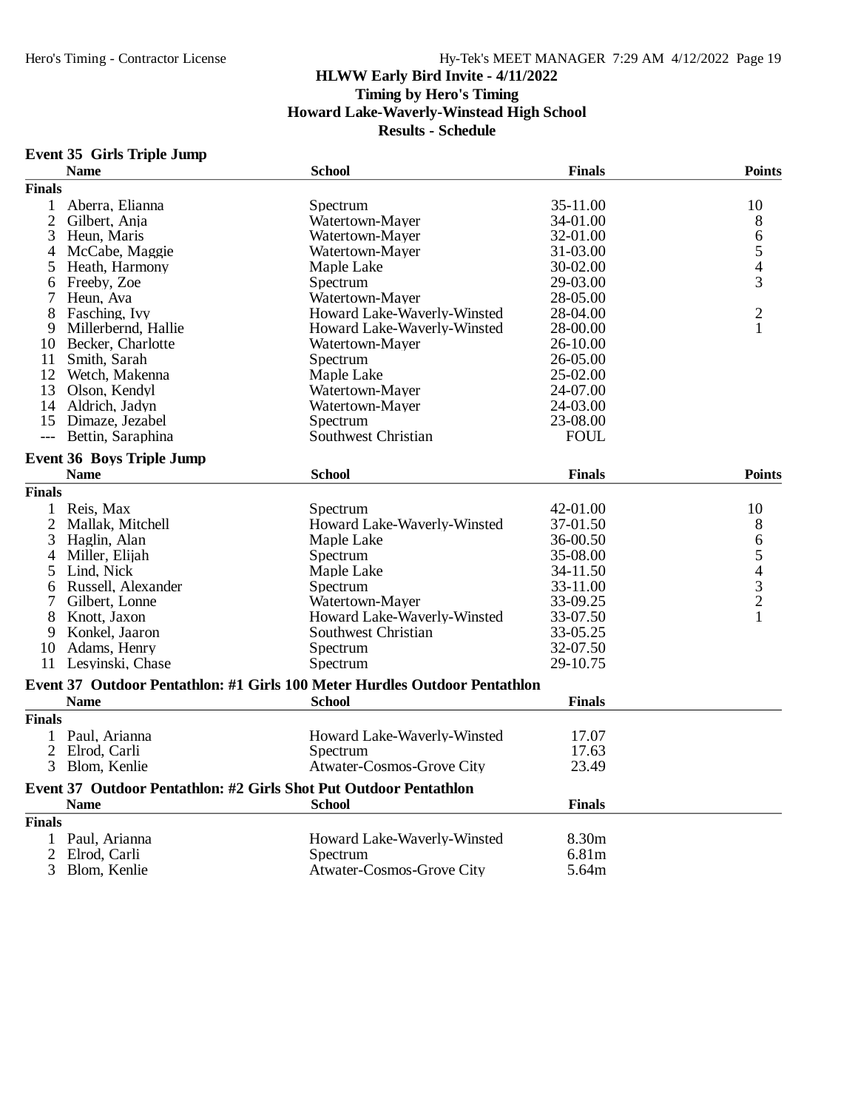# **Event 35 Girls Triple Jump**

|                | <b>Name</b>                      | <b>School</b>                                                              | <b>Finals</b>        | <b>Points</b>                                   |
|----------------|----------------------------------|----------------------------------------------------------------------------|----------------------|-------------------------------------------------|
| <b>Finals</b>  |                                  |                                                                            |                      |                                                 |
| 1              | Aberra, Elianna                  | Spectrum                                                                   | 35-11.00             | 10                                              |
| $\overline{c}$ | Gilbert, Anja                    | Watertown-Mayer                                                            | 34-01.00             | 8                                               |
| 3              | Heun, Maris                      | Watertown-Mayer                                                            | 32-01.00             | 6                                               |
| 4              | McCabe, Maggie                   | Watertown-Mayer                                                            | 31-03.00             | 5                                               |
| 5              | Heath, Harmony                   | Maple Lake                                                                 | 30-02.00             | 4                                               |
| 6              | Freeby, Zoe                      | Spectrum                                                                   | 29-03.00             | 3                                               |
| 7              | Heun, Ava                        | Watertown-Mayer                                                            | 28-05.00             |                                                 |
| 8              | Fasching, Ivy                    | Howard Lake-Waverly-Winsted                                                | 28-04.00             | $\overline{c}$                                  |
| 9              | Millerbernd, Hallie              | Howard Lake-Waverly-Winsted                                                | 28-00.00             | 1                                               |
| 10             | Becker, Charlotte                | Watertown-Mayer                                                            | 26-10.00             |                                                 |
|                | 11 Smith, Sarah                  | Spectrum                                                                   | 26-05.00             |                                                 |
| 12             | Wetch, Makenna                   | Maple Lake                                                                 | 25-02.00             |                                                 |
|                | 13 Olson, Kendyl                 | Watertown-Mayer                                                            | 24-07.00             |                                                 |
|                | 14 Aldrich, Jadyn                | Watertown-Mayer                                                            | 24-03.00             |                                                 |
|                | 15 Dimaze, Jezabel               | Spectrum                                                                   | 23-08.00             |                                                 |
| $---$          | Bettin, Saraphina                | Southwest Christian                                                        | <b>FOUL</b>          |                                                 |
|                | <b>Event 36 Boys Triple Jump</b> |                                                                            |                      |                                                 |
|                | <b>Name</b>                      | <b>School</b>                                                              | <b>Finals</b>        | <b>Points</b>                                   |
| <b>Finals</b>  |                                  |                                                                            |                      |                                                 |
| $\mathbf{1}$   |                                  |                                                                            |                      | 10                                              |
|                | Reis, Max<br>Mallak, Mitchell    | Spectrum<br>Howard Lake-Waverly-Winsted                                    | 42-01.00<br>37-01.50 |                                                 |
| 2<br>3         |                                  | Maple Lake                                                                 | 36-00.50             | 8                                               |
| 4              | Haglin, Alan                     |                                                                            |                      | 6                                               |
|                | Miller, Elijah                   | Spectrum                                                                   | 35-08.00             |                                                 |
| 5              | Lind, Nick                       | Maple Lake                                                                 | 34-11.50             |                                                 |
| 6              | Russell, Alexander               | Spectrum                                                                   | 33-11.00             | $\begin{array}{c} 5 \\ 4 \\ 3 \\ 2 \end{array}$ |
| 7              | Gilbert, Lonne                   | Watertown-Mayer                                                            | 33-09.25             |                                                 |
| 8              | Knott, Jaxon                     | Howard Lake-Waverly-Winsted                                                | 33-07.50             | $\mathbf{1}$                                    |
| 9              | Konkel, Jaaron                   | Southwest Christian                                                        | 33-05.25             |                                                 |
|                | 10 Adams, Henry                  | Spectrum                                                                   | 32-07.50             |                                                 |
| 11             | Lesyinski, Chase                 | Spectrum                                                                   | 29-10.75             |                                                 |
|                |                                  | Event 37 Outdoor Pentathlon: #1 Girls 100 Meter Hurdles Outdoor Pentathlon |                      |                                                 |
|                | <b>Name</b>                      | <b>School</b>                                                              | <b>Finals</b>        |                                                 |
| <b>Finals</b>  |                                  |                                                                            |                      |                                                 |
| 1              | Paul, Arianna                    | Howard Lake-Waverly-Winsted                                                | 17.07                |                                                 |
| $\overline{c}$ | Elrod. Carli                     | Spectrum                                                                   | 17.63                |                                                 |
| 3              | Blom, Kenlie                     | Atwater-Cosmos-Grove City                                                  | 23.49                |                                                 |
|                |                                  | Event 37 Outdoor Pentathlon: #2 Girls Shot Put Outdoor Pentathlon          |                      |                                                 |
|                | <b>Name</b>                      | <b>School</b>                                                              | <b>Finals</b>        |                                                 |
| <b>Finals</b>  |                                  |                                                                            |                      |                                                 |
|                | 1 Paul, Arianna                  | Howard Lake-Waverly-Winsted                                                | 8.30m                |                                                 |
| $\overline{2}$ | Elrod, Carli                     | Spectrum                                                                   | 6.81m                |                                                 |
| 3              | Blom, Kenlie                     | <b>Atwater-Cosmos-Grove City</b>                                           | 5.64m                |                                                 |
|                |                                  |                                                                            |                      |                                                 |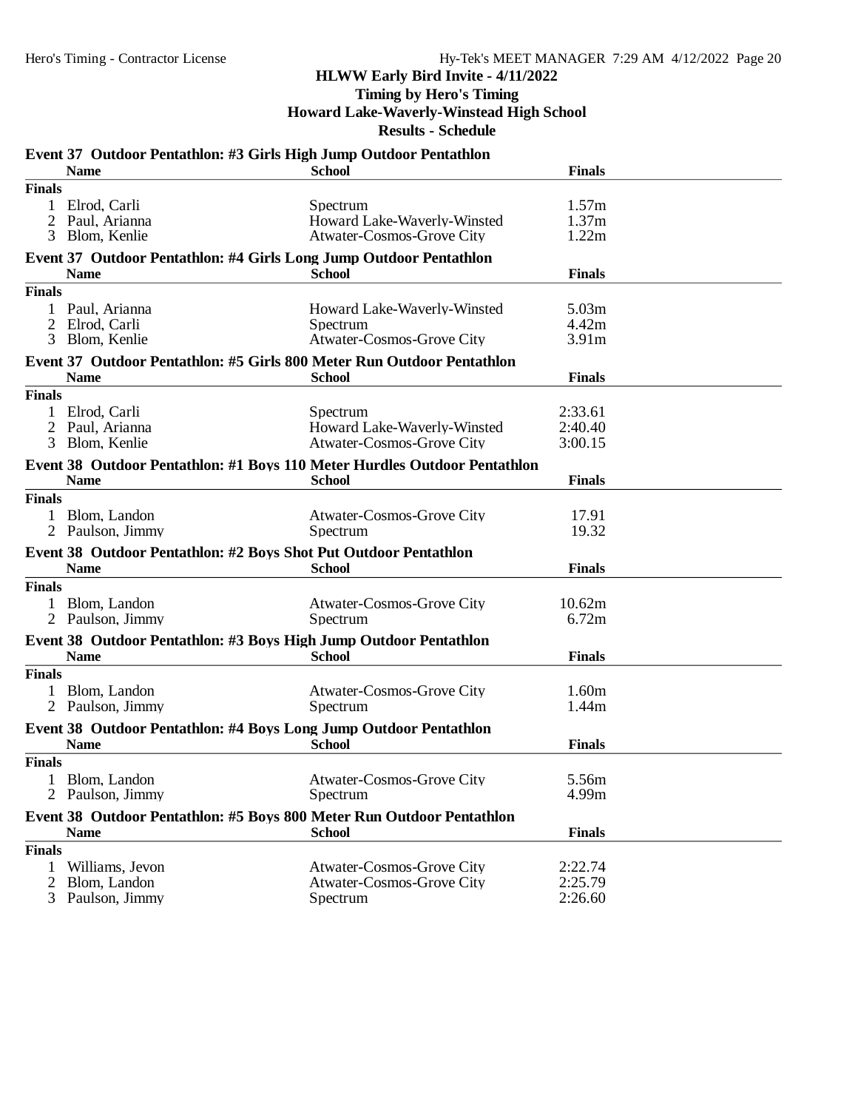**Timing by Hero's Timing**

**Howard Lake-Waverly-Winstead High School**

|                                                                        | Event 37 Outdoor Pentathlon: #3 Girls High Jump Outdoor Pentathlon<br><b>Name</b>        | <b>School</b>                                                               | <b>Finals</b>                                   |  |  |  |  |  |  |
|------------------------------------------------------------------------|------------------------------------------------------------------------------------------|-----------------------------------------------------------------------------|-------------------------------------------------|--|--|--|--|--|--|
| <b>Finals</b>                                                          |                                                                                          |                                                                             |                                                 |  |  |  |  |  |  |
| 1<br>2<br>3                                                            | Elrod, Carli<br>Paul, Arianna<br>Blom, Kenlie                                            | Spectrum<br>Howard Lake-Waverly-Winsted<br>Atwater-Cosmos-Grove City        | 1.57m<br>1.37m<br>1.22m                         |  |  |  |  |  |  |
|                                                                        | Event 37 Outdoor Pentathlon: #4 Girls Long Jump Outdoor Pentathlon<br><b>Name</b>        | <b>School</b>                                                               | <b>Finals</b>                                   |  |  |  |  |  |  |
| <b>Finals</b>                                                          |                                                                                          |                                                                             |                                                 |  |  |  |  |  |  |
| 1<br>2<br>3                                                            | Paul, Arianna<br>Elrod, Carli<br>Blom, Kenlie                                            | Howard Lake-Waverly-Winsted<br>Spectrum<br><b>Atwater-Cosmos-Grove City</b> | 5.03 <sub>m</sub><br>4.42m<br>3.91 <sub>m</sub> |  |  |  |  |  |  |
| Event 37 Outdoor Pentathlon: #5 Girls 800 Meter Run Outdoor Pentathlon |                                                                                          |                                                                             |                                                 |  |  |  |  |  |  |
|                                                                        | <b>Name</b>                                                                              | <b>School</b>                                                               | <b>Finals</b>                                   |  |  |  |  |  |  |
| <b>Finals</b><br>1<br>2<br>3                                           | Elrod, Carli<br>Paul, Arianna<br>Blom, Kenlie                                            | Spectrum<br>Howard Lake-Waverly-Winsted<br>Atwater-Cosmos-Grove City        | 2:33.61<br>2:40.40<br>3:00.15                   |  |  |  |  |  |  |
|                                                                        | Event 38 Outdoor Pentathlon: #1 Boys 110 Meter Hurdles Outdoor Pentathlon<br><b>Name</b> | <b>School</b>                                                               | <b>Finals</b>                                   |  |  |  |  |  |  |
| <b>Finals</b>                                                          |                                                                                          |                                                                             |                                                 |  |  |  |  |  |  |
|                                                                        | Blom, Landon<br>2 Paulson, Jimmy                                                         | Atwater-Cosmos-Grove City<br>Spectrum                                       | 17.91<br>19.32                                  |  |  |  |  |  |  |
|                                                                        | Event 38 Outdoor Pentathlon: #2 Boys Shot Put Outdoor Pentathlon<br><b>Name</b>          | <b>School</b>                                                               | <b>Finals</b>                                   |  |  |  |  |  |  |
| <b>Finals</b>                                                          |                                                                                          |                                                                             |                                                 |  |  |  |  |  |  |
|                                                                        | 1 Blom, Landon<br>2 Paulson, Jimmy                                                       | Atwater-Cosmos-Grove City<br>Spectrum                                       | 10.62m<br>6.72m                                 |  |  |  |  |  |  |
|                                                                        | Event 38 Outdoor Pentathlon: #3 Boys High Jump Outdoor Pentathlon<br><b>Name</b>         | <b>School</b>                                                               | <b>Finals</b>                                   |  |  |  |  |  |  |
| <b>Finals</b>                                                          |                                                                                          |                                                                             |                                                 |  |  |  |  |  |  |
|                                                                        | Blom, Landon<br>Paulson, Jimmy                                                           | <b>Atwater-Cosmos-Grove City</b><br>Spectrum                                | 1.60m<br>1.44m                                  |  |  |  |  |  |  |
|                                                                        | Event 38 Outdoor Pentathlon: #4 Boys Long Jump Outdoor Pentathlon<br><b>Name</b>         | <b>School</b>                                                               | <b>Finals</b>                                   |  |  |  |  |  |  |
| <b>Finals</b>                                                          |                                                                                          |                                                                             |                                                 |  |  |  |  |  |  |
| 1                                                                      | Blom, Landon<br>Paulson, Jimmy                                                           | Atwater-Cosmos-Grove City<br>Spectrum                                       | 5.56m<br>4.99m                                  |  |  |  |  |  |  |
|                                                                        | Event 38 Outdoor Pentathlon: #5 Boys 800 Meter Run Outdoor Pentathlon<br><b>Name</b>     | <b>School</b>                                                               | <b>Finals</b>                                   |  |  |  |  |  |  |
| <b>Finals</b>                                                          |                                                                                          |                                                                             |                                                 |  |  |  |  |  |  |
| $\overline{c}$<br>3                                                    | Williams, Jevon<br>Blom, Landon<br>Paulson, Jimmy                                        | Atwater-Cosmos-Grove City<br><b>Atwater-Cosmos-Grove City</b><br>Spectrum   | 2:22.74<br>2:25.79<br>2:26.60                   |  |  |  |  |  |  |